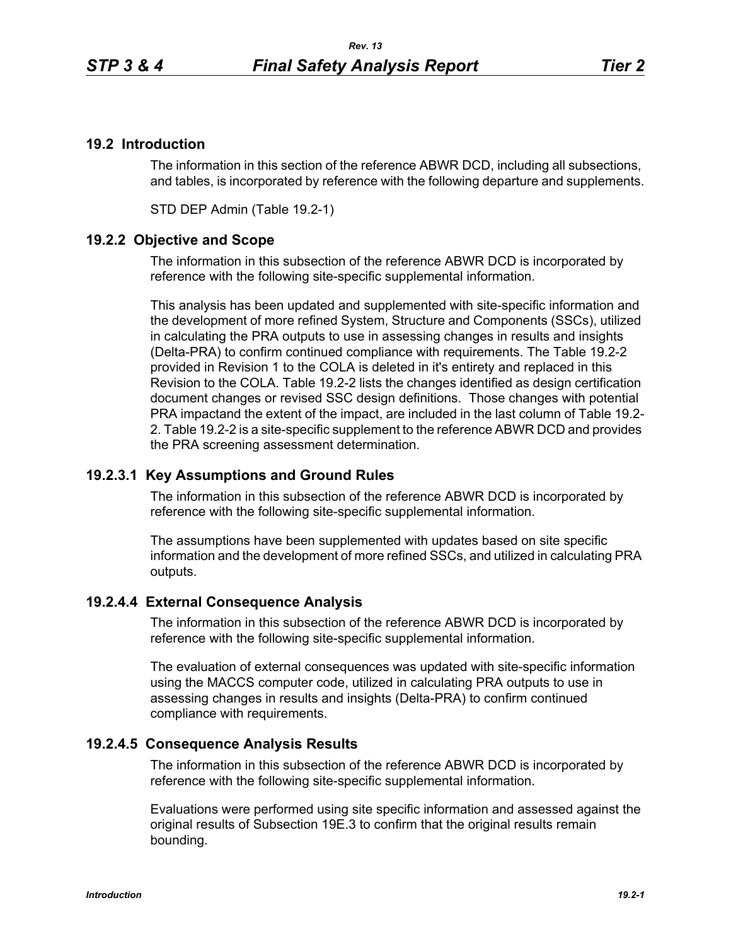# **19.2 Introduction**

The information in this section of the reference ABWR DCD, including all subsections, and tables, is incorporated by reference with the following departure and supplements.

STD DEP Admin (Table 19.2-1)

# **19.2.2 Objective and Scope**

The information in this subsection of the reference ABWR DCD is incorporated by reference with the following site-specific supplemental information.

This analysis has been updated and supplemented with site-specific information and the development of more refined System, Structure and Components (SSCs), utilized in calculating the PRA outputs to use in assessing changes in results and insights (Delta-PRA) to confirm continued compliance with requirements. The Table 19.2-2 provided in Revision 1 to the COLA is deleted in it's entirety and replaced in this Revision to the COLA. Table 19.2-2 lists the changes identified as design certification document changes or revised SSC design definitions. Those changes with potential PRA impactand the extent of the impact, are included in the last column of Table 19.2- 2. Table 19.2-2 is a site-specific supplement to the reference ABWR DCD and provides the PRA screening assessment determination.

# **19.2.3.1 Key Assumptions and Ground Rules**

The information in this subsection of the reference ABWR DCD is incorporated by reference with the following site-specific supplemental information.

The assumptions have been supplemented with updates based on site specific information and the development of more refined SSCs, and utilized in calculating PRA outputs.

# **19.2.4.4 External Consequence Analysis**

The information in this subsection of the reference ABWR DCD is incorporated by reference with the following site-specific supplemental information.

The evaluation of external consequences was updated with site-specific information using the MACCS computer code, utilized in calculating PRA outputs to use in assessing changes in results and insights (Delta-PRA) to confirm continued compliance with requirements.

# **19.2.4.5 Consequence Analysis Results**

The information in this subsection of the reference ABWR DCD is incorporated by reference with the following site-specific supplemental information.

Evaluations were performed using site specific information and assessed against the original results of Subsection 19E.3 to confirm that the original results remain bounding.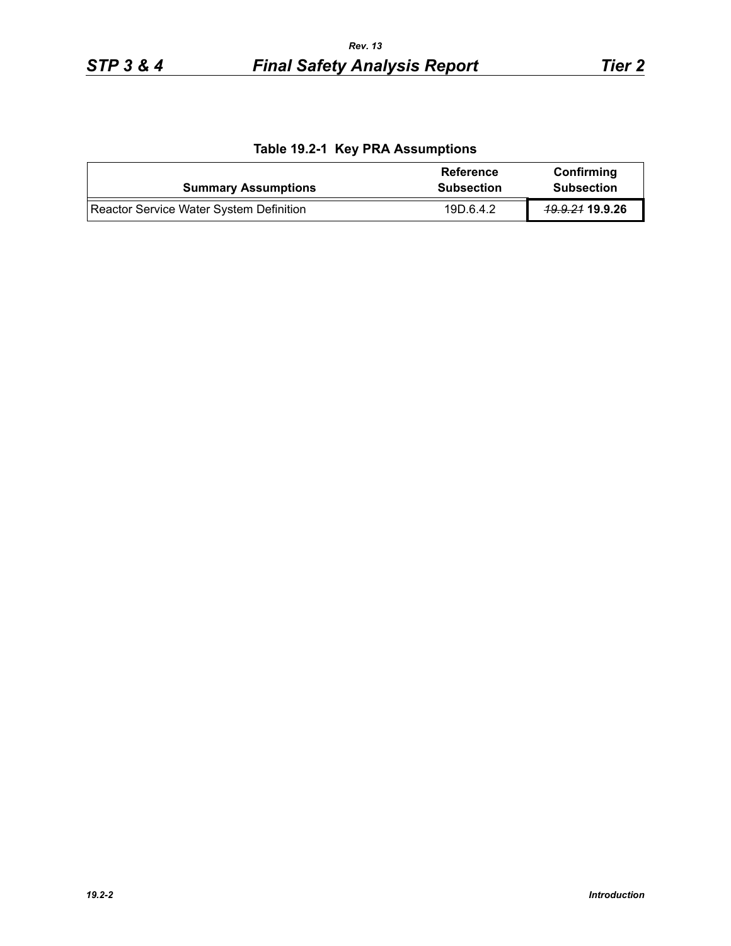|  |  | Table 19.2-1 Key PRA Assumptions |
|--|--|----------------------------------|
|--|--|----------------------------------|

| <b>Summary Assumptions</b>              | Reference<br><b>Subsection</b> | Confirming<br><b>Subsection</b> |
|-----------------------------------------|--------------------------------|---------------------------------|
| Reactor Service Water System Definition | 19D.6.4.2                      | <del>19.9.21</del> 19.9.26      |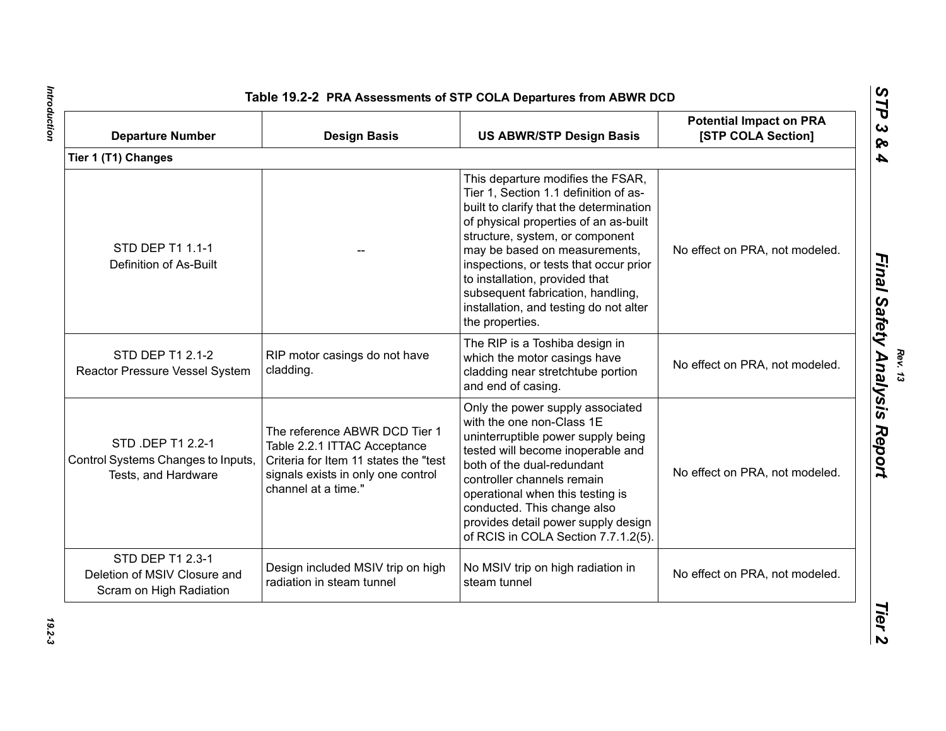| <b>Departure Number</b>                                                        | <b>Design Basis</b>                                                                                                                                                 | <b>US ABWR/STP Design Basis</b>                                                                                                                                                                                                                                                                                                                                                                                  | <b>Potential Impact on PRA</b><br>[STP COLA Section] |
|--------------------------------------------------------------------------------|---------------------------------------------------------------------------------------------------------------------------------------------------------------------|------------------------------------------------------------------------------------------------------------------------------------------------------------------------------------------------------------------------------------------------------------------------------------------------------------------------------------------------------------------------------------------------------------------|------------------------------------------------------|
| Tier 1 (T1) Changes                                                            |                                                                                                                                                                     |                                                                                                                                                                                                                                                                                                                                                                                                                  |                                                      |
| STD DEP T1 1.1-1<br>Definition of As-Built                                     |                                                                                                                                                                     | This departure modifies the FSAR,<br>Tier 1, Section 1.1 definition of as-<br>built to clarify that the determination<br>of physical properties of an as-built<br>structure, system, or component<br>may be based on measurements,<br>inspections, or tests that occur prior<br>to installation, provided that<br>subsequent fabrication, handling,<br>installation, and testing do not alter<br>the properties. | No effect on PRA, not modeled.                       |
| STD DEP T1 2.1-2<br>Reactor Pressure Vessel System                             | RIP motor casings do not have<br>cladding.                                                                                                                          | The RIP is a Toshiba design in<br>which the motor casings have<br>cladding near stretchtube portion<br>and end of casing.                                                                                                                                                                                                                                                                                        | No effect on PRA, not modeled.                       |
| STD .DEP T1 2.2-1<br>Control Systems Changes to Inputs,<br>Tests, and Hardware | The reference ABWR DCD Tier 1<br>Table 2.2.1 ITTAC Acceptance<br>Criteria for Item 11 states the "test<br>signals exists in only one control<br>channel at a time." | Only the power supply associated<br>with the one non-Class 1E<br>uninterruptible power supply being<br>tested will become inoperable and<br>both of the dual-redundant<br>controller channels remain<br>operational when this testing is<br>conducted. This change also<br>provides detail power supply design<br>of RCIS in COLA Section 7.7.1.2(5).                                                            | No effect on PRA, not modeled.                       |
| STD DEP T1 2.3-1<br>Deletion of MSIV Closure and<br>Scram on High Radiation    | Design included MSIV trip on high<br>radiation in steam tunnel                                                                                                      | No MSIV trip on high radiation in<br>steam tunnel                                                                                                                                                                                                                                                                                                                                                                | No effect on PRA, not modeled.                       |

Introduction *Introduction 19.2-3*

 $19.2 - 3$ 

*Rev. 13*<br>*Final Safety Analysis Report*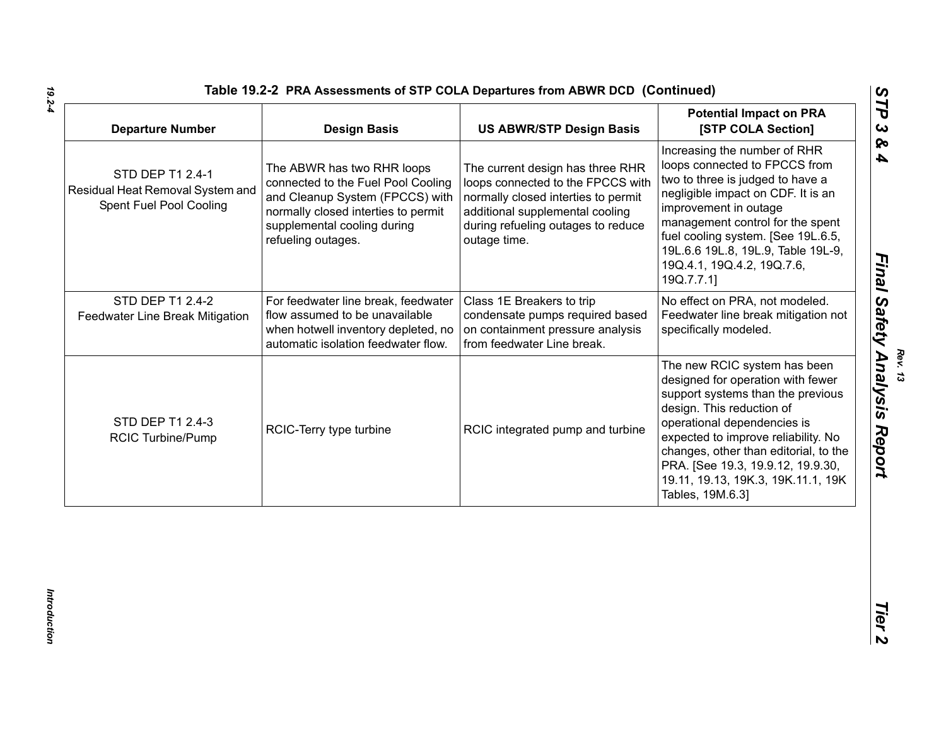|                                                                                 | <b>Design Basis</b>                                                                                                                                                                             | <b>US ABWR/STP Design Basis</b>                                                                                                                                                                       | <b>Potential Impact on PRA</b><br>[STP COLA Section]                                                                                                                                                                                                                                                                                              |
|---------------------------------------------------------------------------------|-------------------------------------------------------------------------------------------------------------------------------------------------------------------------------------------------|-------------------------------------------------------------------------------------------------------------------------------------------------------------------------------------------------------|---------------------------------------------------------------------------------------------------------------------------------------------------------------------------------------------------------------------------------------------------------------------------------------------------------------------------------------------------|
| STD DEP T1 2.4-1<br>Residual Heat Removal System and<br>Spent Fuel Pool Cooling | The ABWR has two RHR loops<br>connected to the Fuel Pool Cooling<br>and Cleanup System (FPCCS) with<br>normally closed interties to permit<br>supplemental cooling during<br>refueling outages. | The current design has three RHR<br>loops connected to the FPCCS with<br>normally closed interties to permit<br>additional supplemental cooling<br>during refueling outages to reduce<br>outage time. | Increasing the number of RHR<br>loops connected to FPCCS from<br>two to three is judged to have a<br>negligible impact on CDF. It is an<br>improvement in outage<br>management control for the spent<br>fuel cooling system. [See 19L.6.5,<br>19L.6.6 19L.8, 19L.9, Table 19L-9,<br>19Q.4.1, 19Q.4.2, 19Q.7.6,<br>19Q.7.7.1]                      |
| STD DEP T1 2.4-2<br>Feedwater Line Break Mitigation                             | For feedwater line break, feedwater<br>flow assumed to be unavailable<br>when hotwell inventory depleted, no<br>automatic isolation feedwater flow.                                             | Class 1E Breakers to trip<br>condensate pumps required based<br>on containment pressure analysis<br>from feedwater Line break.                                                                        | No effect on PRA, not modeled.<br>Feedwater line break mitigation not<br>specifically modeled.                                                                                                                                                                                                                                                    |
| STD DEP T1 2.4-3<br><b>RCIC Turbine/Pump</b>                                    | RCIC-Terry type turbine                                                                                                                                                                         | RCIC integrated pump and turbine                                                                                                                                                                      | The new RCIC system has been<br>designed for operation with fewer<br>support systems than the previous<br>design. This reduction of<br>operational dependencies is<br>expected to improve reliability. No<br>changes, other than editorial, to the<br>PRA. [See 19.3, 19.9.12, 19.9.30,<br>19.11, 19.13, 19K.3, 19K.11.1, 19K<br>Tables, 19M.6.3] |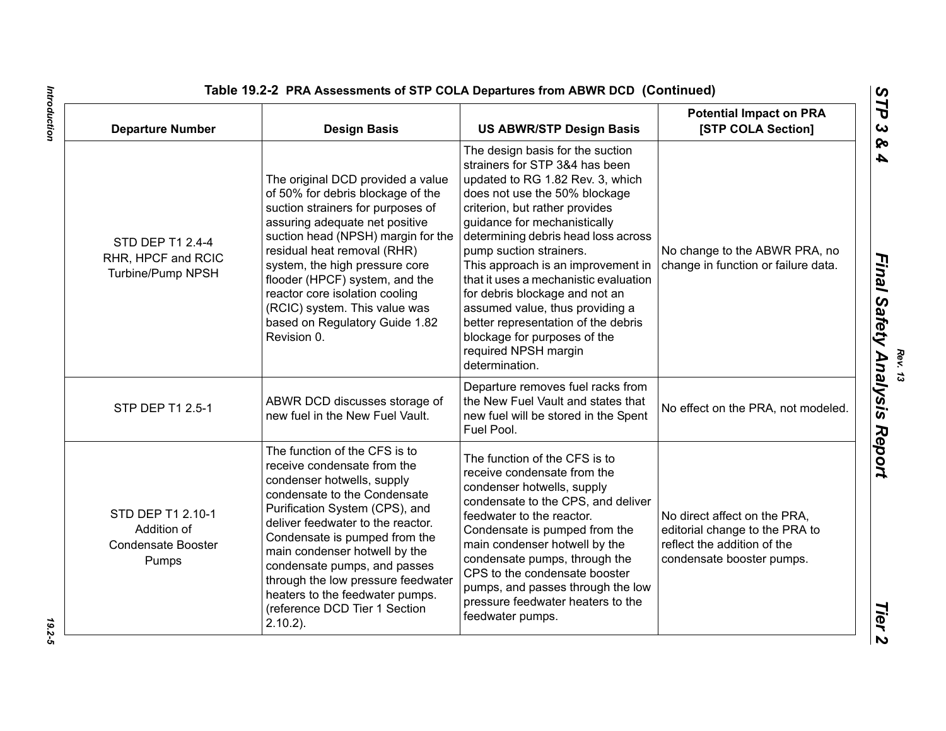| <b>Departure Number</b>                                                | <b>Design Basis</b>                                                                                                                                                                                                                                                                                                                                                                                                          | <b>US ABWR/STP Design Basis</b>                                                                                                                                                                                                                                                                                                                                                                                                                                                                                                                  | <b>Potential Impact on PRA</b><br>[STP COLA Section]                                                                       |
|------------------------------------------------------------------------|------------------------------------------------------------------------------------------------------------------------------------------------------------------------------------------------------------------------------------------------------------------------------------------------------------------------------------------------------------------------------------------------------------------------------|--------------------------------------------------------------------------------------------------------------------------------------------------------------------------------------------------------------------------------------------------------------------------------------------------------------------------------------------------------------------------------------------------------------------------------------------------------------------------------------------------------------------------------------------------|----------------------------------------------------------------------------------------------------------------------------|
| STD DEP T1 2.4-4<br>RHR, HPCF and RCIC<br>Turbine/Pump NPSH            | The original DCD provided a value<br>of 50% for debris blockage of the<br>suction strainers for purposes of<br>assuring adequate net positive<br>suction head (NPSH) margin for the<br>residual heat removal (RHR)<br>system, the high pressure core<br>flooder (HPCF) system, and the<br>reactor core isolation cooling<br>(RCIC) system. This value was<br>based on Regulatory Guide 1.82<br>Revision 0.                   | The design basis for the suction<br>strainers for STP 3&4 has been<br>updated to RG 1.82 Rev. 3, which<br>does not use the 50% blockage<br>criterion, but rather provides<br>guidance for mechanistically<br>determining debris head loss across<br>pump suction strainers.<br>This approach is an improvement in<br>that it uses a mechanistic evaluation<br>for debris blockage and not an<br>assumed value, thus providing a<br>better representation of the debris<br>blockage for purposes of the<br>required NPSH margin<br>determination. | No change to the ABWR PRA, no<br>change in function or failure data.                                                       |
| STP DEP T1 2.5-1                                                       | ABWR DCD discusses storage of<br>new fuel in the New Fuel Vault.                                                                                                                                                                                                                                                                                                                                                             | Departure removes fuel racks from<br>the New Fuel Vault and states that<br>new fuel will be stored in the Spent<br>Fuel Pool.                                                                                                                                                                                                                                                                                                                                                                                                                    | No effect on the PRA, not modeled.                                                                                         |
| STD DEP T1 2.10-1<br>Addition of<br><b>Condensate Booster</b><br>Pumps | The function of the CFS is to<br>receive condensate from the<br>condenser hotwells, supply<br>condensate to the Condensate<br>Purification System (CPS), and<br>deliver feedwater to the reactor.<br>Condensate is pumped from the<br>main condenser hotwell by the<br>condensate pumps, and passes<br>through the low pressure feedwater<br>heaters to the feedwater pumps.<br>(reference DCD Tier 1 Section<br>$2.10.2$ ). | The function of the CFS is to<br>receive condensate from the<br>condenser hotwells, supply<br>condensate to the CPS, and deliver<br>feedwater to the reactor.<br>Condensate is pumped from the<br>main condenser hotwell by the<br>condensate pumps, through the<br>CPS to the condensate booster<br>pumps, and passes through the low<br>pressure feedwater heaters to the<br>feedwater pumps.                                                                                                                                                  | No direct affect on the PRA,<br>editorial change to the PRA to<br>reflect the addition of the<br>condensate booster pumps. |

19.2-5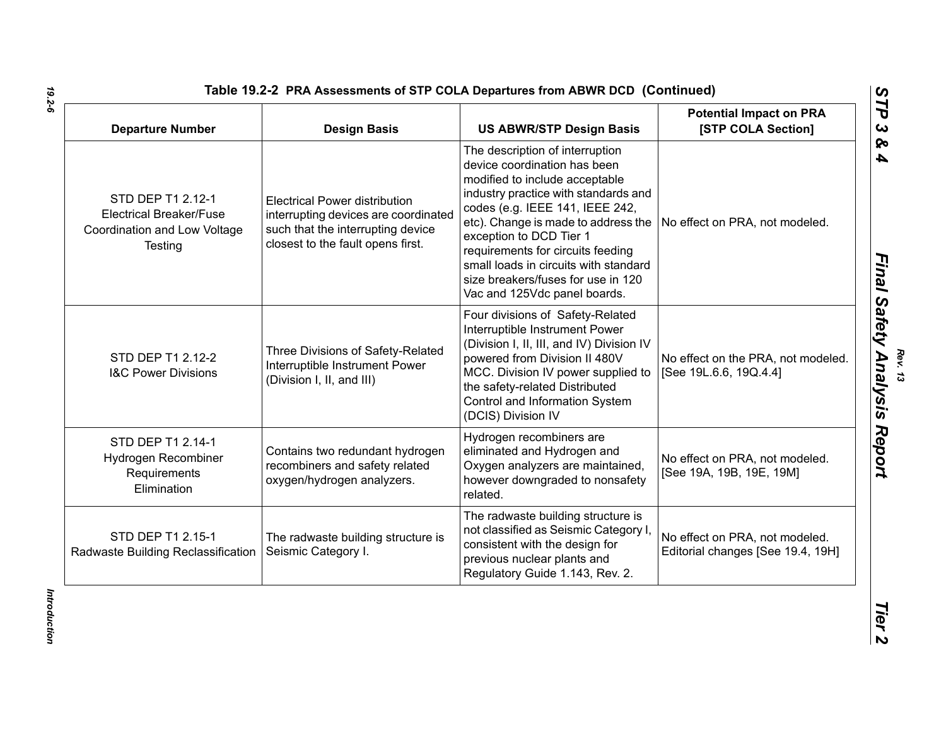| <b>Departure Number</b>                                                                        | <b>Design Basis</b>                                                                                                                                    | <b>US ABWR/STP Design Basis</b>                                                                                                                                                                                                                                                                                                                                                                    | <b>Potential Impact on PRA</b><br>[STP COLA Section]                |
|------------------------------------------------------------------------------------------------|--------------------------------------------------------------------------------------------------------------------------------------------------------|----------------------------------------------------------------------------------------------------------------------------------------------------------------------------------------------------------------------------------------------------------------------------------------------------------------------------------------------------------------------------------------------------|---------------------------------------------------------------------|
| STD DEP T1 2.12-1<br><b>Electrical Breaker/Fuse</b><br>Coordination and Low Voltage<br>Testing | <b>Electrical Power distribution</b><br>interrupting devices are coordinated<br>such that the interrupting device<br>closest to the fault opens first. | The description of interruption<br>device coordination has been<br>modified to include acceptable<br>industry practice with standards and<br>codes (e.g. IEEE 141, IEEE 242,<br>etc). Change is made to address the<br>exception to DCD Tier 1<br>requirements for circuits feeding<br>small loads in circuits with standard<br>size breakers/fuses for use in 120<br>Vac and 125Vdc panel boards. | No effect on PRA, not modeled.                                      |
| STD DEP T1 2.12-2<br><b>I&amp;C Power Divisions</b>                                            | Three Divisions of Safety-Related<br>Interruptible Instrument Power<br>(Division I, II, and III)                                                       | Four divisions of Safety-Related<br>Interruptible Instrument Power<br>(Division I, II, III, and IV) Division IV<br>powered from Division II 480V<br>MCC. Division IV power supplied to<br>the safety-related Distributed<br>Control and Information System<br>(DCIS) Division IV                                                                                                                   | No effect on the PRA, not modeled.<br>[See 19L.6.6, 19Q.4.4]        |
| STD DEP T1 2.14-1<br>Hydrogen Recombiner<br>Requirements<br>Elimination                        | Contains two redundant hydrogen<br>recombiners and safety related<br>oxygen/hydrogen analyzers.                                                        | Hydrogen recombiners are<br>eliminated and Hydrogen and<br>Oxygen analyzers are maintained,<br>however downgraded to nonsafety<br>related.                                                                                                                                                                                                                                                         | No effect on PRA, not modeled.<br>[See 19A, 19B, 19E, 19M]          |
| STD DEP T1 2.15-1<br>Radwaste Building Reclassification                                        | The radwaste building structure is<br>Seismic Category I.                                                                                              | The radwaste building structure is<br>not classified as Seismic Category I<br>consistent with the design for<br>previous nuclear plants and<br>Regulatory Guide 1.143, Rev. 2.                                                                                                                                                                                                                     | No effect on PRA, not modeled.<br>Editorial changes [See 19.4, 19H] |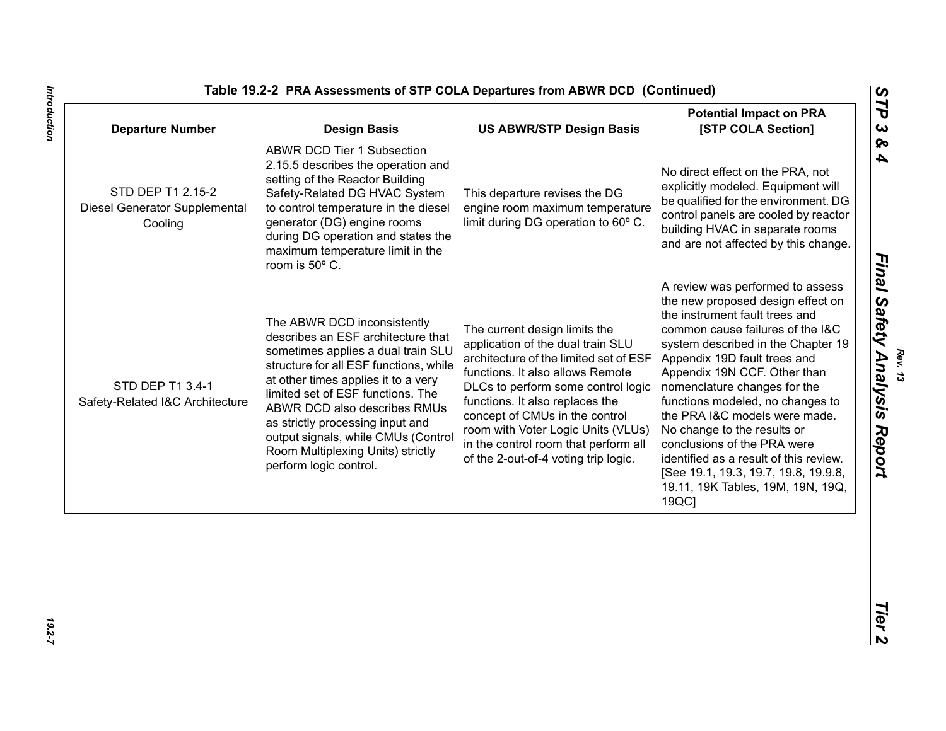|  | Table 19.2-2 PRA Assessments of STP COLA Departures from ABWR DCD (Continued) |  |  |
|--|-------------------------------------------------------------------------------|--|--|
|  |                                                                               |  |  |

| <b>ABWR DCD Tier 1 Subsection</b><br>2.15.5 describes the operation and<br>No direct effect on the PRA, not<br>setting of the Reactor Building<br>explicitly modeled. Equipment will<br>STD DEP T1 2.15-2<br>Safety-Related DG HVAC System<br>This departure revises the DG<br>be qualified for the environment. DG<br>to control temperature in the diesel<br>Diesel Generator Supplemental<br>engine room maximum temperature<br>control panels are cooled by reactor<br>limit during DG operation to 60° C.<br>generator (DG) engine rooms<br>Cooling<br>building HVAC in separate rooms<br>during DG operation and states the<br>and are not affected by this change.<br>maximum temperature limit in the<br>room is 50° C.<br>A review was performed to assess<br>the new proposed design effect on<br>the instrument fault trees and<br>The ABWR DCD inconsistently<br>The current design limits the<br>common cause failures of the I&C<br>describes an ESF architecture that<br>application of the dual train SLU<br>system described in the Chapter 19<br>sometimes applies a dual train SLU<br>architecture of the limited set of ESF<br>Appendix 19D fault trees and<br>structure for all ESF functions, while<br>functions. It also allows Remote<br>Appendix 19N CCF. Other than<br>at other times applies it to a very<br>STD DEP T1 3.4-1<br>DLCs to perform some control logic<br>nomenclature changes for the<br>limited set of ESF functions. The<br>functions. It also replaces the<br>functions modeled, no changes to<br>Safety-Related I&C Architecture<br>ABWR DCD also describes RMUs<br>concept of CMUs in the control<br>the PRA I&C models were made.<br>as strictly processing input and | <b>Potential Impact on PRA</b><br>[STP COLA Section] | <b>US ABWR/STP Design Basis</b>    | <b>Design Basis</b>                 | <b>Departure Number</b> |
|----------------------------------------------------------------------------------------------------------------------------------------------------------------------------------------------------------------------------------------------------------------------------------------------------------------------------------------------------------------------------------------------------------------------------------------------------------------------------------------------------------------------------------------------------------------------------------------------------------------------------------------------------------------------------------------------------------------------------------------------------------------------------------------------------------------------------------------------------------------------------------------------------------------------------------------------------------------------------------------------------------------------------------------------------------------------------------------------------------------------------------------------------------------------------------------------------------------------------------------------------------------------------------------------------------------------------------------------------------------------------------------------------------------------------------------------------------------------------------------------------------------------------------------------------------------------------------------------------------------------------------------------------------------------------------------------------------------------|------------------------------------------------------|------------------------------------|-------------------------------------|-------------------------|
|                                                                                                                                                                                                                                                                                                                                                                                                                                                                                                                                                                                                                                                                                                                                                                                                                                                                                                                                                                                                                                                                                                                                                                                                                                                                                                                                                                                                                                                                                                                                                                                                                                                                                                                      |                                                      |                                    |                                     |                         |
| in the control room that perform all<br>conclusions of the PRA were<br>Room Multiplexing Units) strictly<br>of the 2-out-of-4 voting trip logic.<br>identified as a result of this review.<br>perform logic control.<br>[See 19.1, 19.3, 19.7, 19.8, 19.9.8,<br>19.11, 19K Tables, 19M, 19N, 19Q,<br>19QC]                                                                                                                                                                                                                                                                                                                                                                                                                                                                                                                                                                                                                                                                                                                                                                                                                                                                                                                                                                                                                                                                                                                                                                                                                                                                                                                                                                                                           | No change to the results or                          | room with Voter Logic Units (VLUs) | output signals, while CMUs (Control |                         |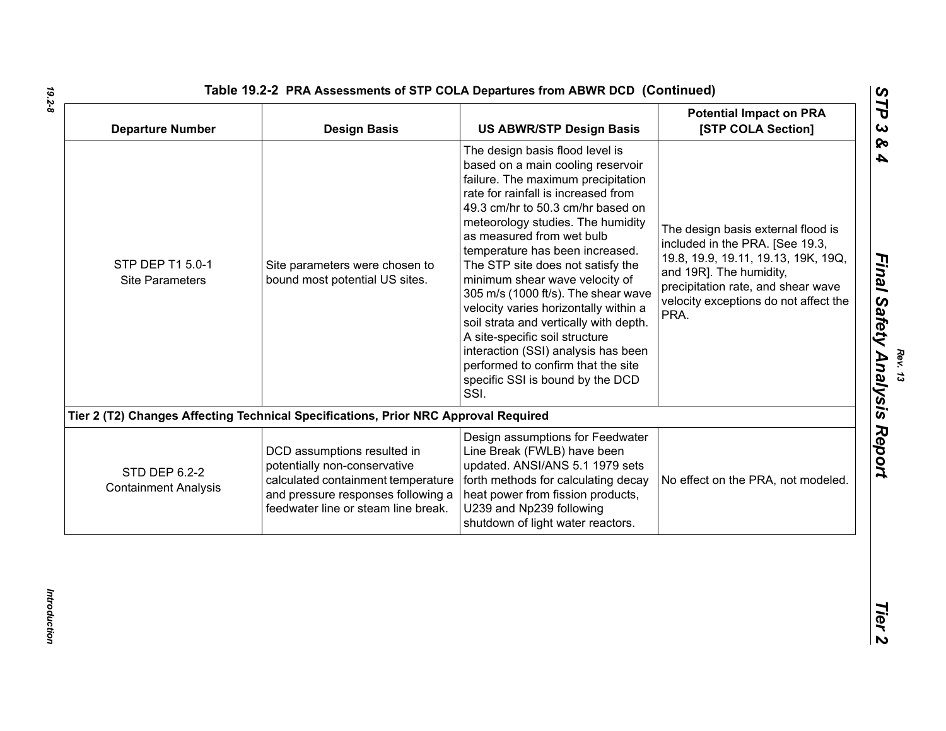| Table 19.2-2 PRA Assessments of STP COLA Departures from ABWR DCD (Continued) |  |
|-------------------------------------------------------------------------------|--|
|                                                                               |  |

| <b>Departure Number</b>                      | <b>Design Basis</b>                                                                                                                                                            | <b>US ABWR/STP Design Basis</b>                                                                                                                                                                                                                                                                                                                                                                                                                                                                                                                                                                                                                         | <b>Potential Impact on PRA</b><br>[STP COLA Section]                                                                                                                                                                           |
|----------------------------------------------|--------------------------------------------------------------------------------------------------------------------------------------------------------------------------------|---------------------------------------------------------------------------------------------------------------------------------------------------------------------------------------------------------------------------------------------------------------------------------------------------------------------------------------------------------------------------------------------------------------------------------------------------------------------------------------------------------------------------------------------------------------------------------------------------------------------------------------------------------|--------------------------------------------------------------------------------------------------------------------------------------------------------------------------------------------------------------------------------|
| STP DEP T1 5.0-1<br><b>Site Parameters</b>   | Site parameters were chosen to<br>bound most potential US sites.                                                                                                               | The design basis flood level is<br>based on a main cooling reservoir<br>failure. The maximum precipitation<br>rate for rainfall is increased from<br>49.3 cm/hr to 50.3 cm/hr based on<br>meteorology studies. The humidity<br>as measured from wet bulb<br>temperature has been increased.<br>The STP site does not satisfy the<br>minimum shear wave velocity of<br>305 m/s (1000 ft/s). The shear wave<br>velocity varies horizontally within a<br>soil strata and vertically with depth.<br>A site-specific soil structure<br>interaction (SSI) analysis has been<br>performed to confirm that the site<br>specific SSI is bound by the DCD<br>SSI. | The design basis external flood is<br>included in the PRA. [See 19.3,<br>19.8, 19.9, 19.11, 19.13, 19K, 19Q,<br>and 19R]. The humidity,<br>precipitation rate, and shear wave<br>velocity exceptions do not affect the<br>PRA. |
|                                              | Tier 2 (T2) Changes Affecting Technical Specifications, Prior NRC Approval Required                                                                                            |                                                                                                                                                                                                                                                                                                                                                                                                                                                                                                                                                                                                                                                         |                                                                                                                                                                                                                                |
| STD DEP 6.2-2<br><b>Containment Analysis</b> | DCD assumptions resulted in<br>potentially non-conservative<br>calculated containment temperature<br>and pressure responses following a<br>feedwater line or steam line break. | Design assumptions for Feedwater<br>Line Break (FWLB) have been<br>updated. ANSI/ANS 5.1 1979 sets<br>forth methods for calculating decay<br>heat power from fission products,<br>U239 and Np239 following<br>shutdown of light water reactors.                                                                                                                                                                                                                                                                                                                                                                                                         | No effect on the PRA, not modeled.                                                                                                                                                                                             |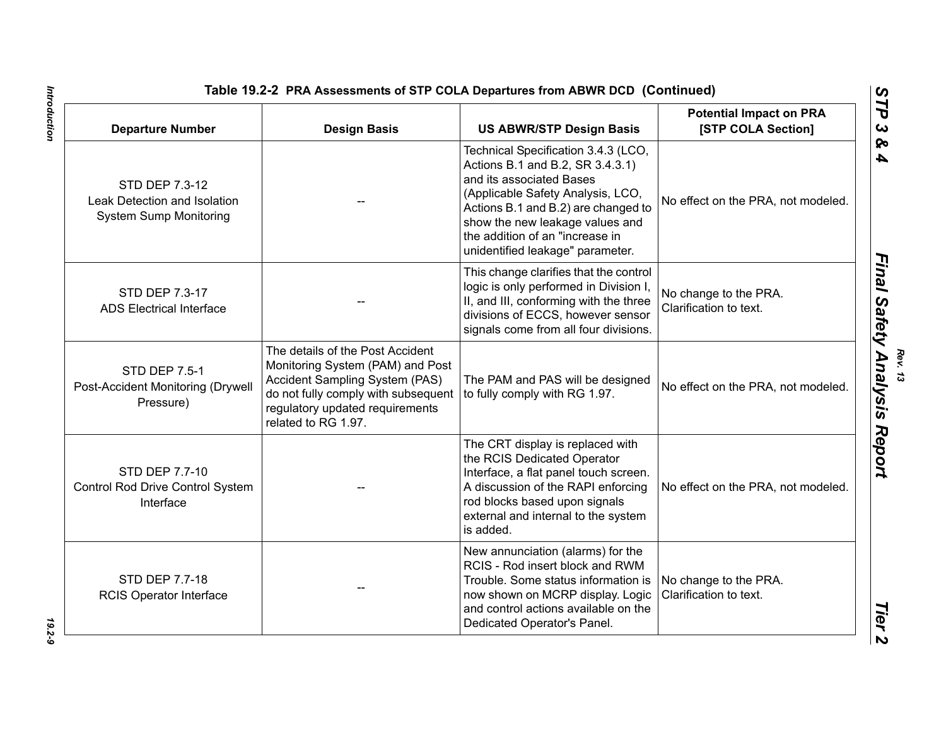| <b>Departure Number</b>                                                         | <b>Design Basis</b>                                                                                                                                                                                     | <b>US ABWR/STP Design Basis</b>                                                                                                                                                                                                                                                           | <b>Potential Impact on PRA</b><br>[STP COLA Section] |
|---------------------------------------------------------------------------------|---------------------------------------------------------------------------------------------------------------------------------------------------------------------------------------------------------|-------------------------------------------------------------------------------------------------------------------------------------------------------------------------------------------------------------------------------------------------------------------------------------------|------------------------------------------------------|
| STD DEP 7.3-12<br>Leak Detection and Isolation<br><b>System Sump Monitoring</b> |                                                                                                                                                                                                         | Technical Specification 3.4.3 (LCO,<br>Actions B.1 and B.2, SR 3.4.3.1)<br>and its associated Bases<br>(Applicable Safety Analysis, LCO,<br>Actions B.1 and B.2) are changed to<br>show the new leakage values and<br>the addition of an "increase in<br>unidentified leakage" parameter. | No effect on the PRA, not modeled.                   |
| STD DEP 7.3-17<br><b>ADS Electrical Interface</b>                               |                                                                                                                                                                                                         | This change clarifies that the control<br>logic is only performed in Division I,<br>II, and III, conforming with the three<br>divisions of ECCS, however sensor<br>signals come from all four divisions.                                                                                  | No change to the PRA.<br>Clarification to text.      |
| STD DEP 7.5-1<br>Post-Accident Monitoring (Drywell<br>Pressure)                 | The details of the Post Accident<br>Monitoring System (PAM) and Post<br>Accident Sampling System (PAS)<br>do not fully comply with subsequent<br>regulatory updated requirements<br>related to RG 1.97. | The PAM and PAS will be designed<br>to fully comply with RG 1.97.                                                                                                                                                                                                                         | No effect on the PRA, not modeled.                   |
| STD DEP 7.7-10<br>Control Pod Drive Control System                              |                                                                                                                                                                                                         | The CRT display is replaced with<br>the RCIS Dedicated Operator<br>Interface, a flat panel touch screen.<br>A discussion of the DADI opfersing                                                                                                                                            | No offect on the DDA not modeled                     |

| <b>Departure Number</b>                                                         | <b>Design Basis</b>                                                                                                                                                                                     | <b>US ABWR/STP Design Basis</b>                                                                                                                                                                                                                                                           | <b>Potential Impact on PRA</b><br>[STP COLA Section] |
|---------------------------------------------------------------------------------|---------------------------------------------------------------------------------------------------------------------------------------------------------------------------------------------------------|-------------------------------------------------------------------------------------------------------------------------------------------------------------------------------------------------------------------------------------------------------------------------------------------|------------------------------------------------------|
| STD DEP 7.3-12<br>Leak Detection and Isolation<br><b>System Sump Monitoring</b> |                                                                                                                                                                                                         | Technical Specification 3.4.3 (LCO,<br>Actions B.1 and B.2, SR 3.4.3.1)<br>and its associated Bases<br>(Applicable Safety Analysis, LCO,<br>Actions B.1 and B.2) are changed to<br>show the new leakage values and<br>the addition of an "increase in<br>unidentified leakage" parameter. | No effect on the PRA, not modeled.                   |
| STD DEP 7.3-17<br><b>ADS Electrical Interface</b>                               |                                                                                                                                                                                                         | This change clarifies that the control<br>logic is only performed in Division I,<br>II, and III, conforming with the three<br>divisions of ECCS, however sensor<br>signals come from all four divisions.                                                                                  | No change to the PRA.<br>Clarification to text.      |
| <b>STD DEP 7.5-1</b><br>Post-Accident Monitoring (Drywell<br>Pressure)          | The details of the Post Accident<br>Monitoring System (PAM) and Post<br>Accident Sampling System (PAS)<br>do not fully comply with subsequent<br>regulatory updated requirements<br>related to RG 1.97. | The PAM and PAS will be designed<br>to fully comply with RG 1.97.                                                                                                                                                                                                                         | No effect on the PRA, not modeled.                   |
| STD DEP 7.7-10<br>Control Rod Drive Control System<br>Interface                 |                                                                                                                                                                                                         | The CRT display is replaced with<br>the RCIS Dedicated Operator<br>Interface, a flat panel touch screen.<br>A discussion of the RAPI enforcing<br>rod blocks based upon signals<br>external and internal to the system<br>is added.                                                       | No effect on the PRA, not modeled.                   |
| STD DEP 7.7-18<br>RCIS Operator Interface                                       |                                                                                                                                                                                                         | New annunciation (alarms) for the<br>RCIS - Rod insert block and RWM<br>Trouble. Some status information is<br>now shown on MCRP display. Logic<br>and control actions available on the<br>Dedicated Operator's Panel.                                                                    | No change to the PRA.<br>Clarification to text.      |

# *Introduction 19.2-9* 19.2-9

Introduction  $\blacksquare$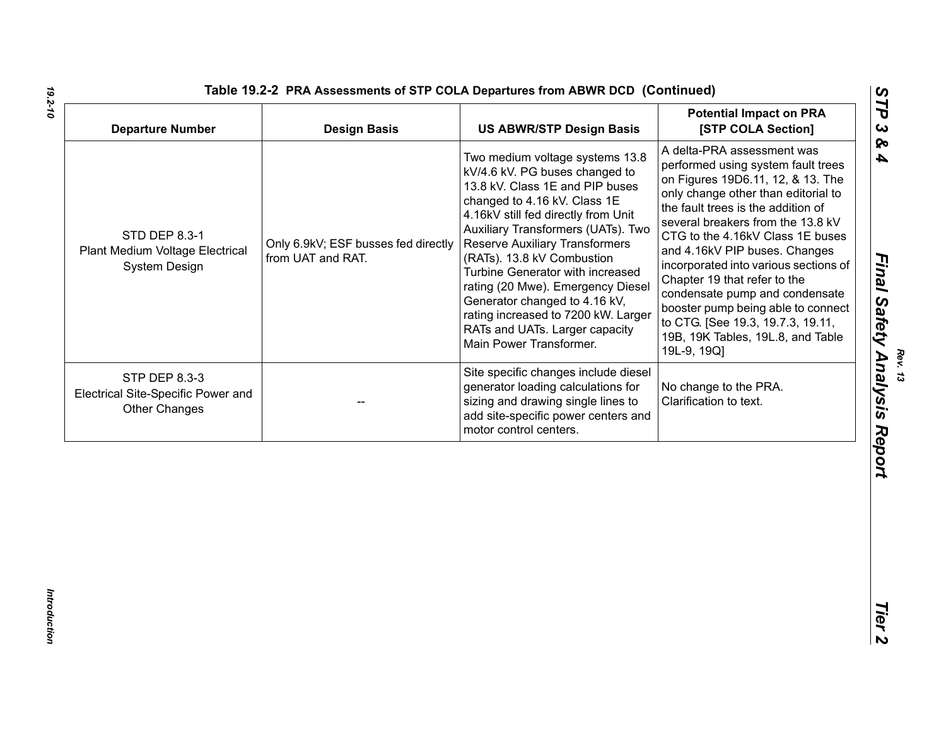| <b>Departure Number</b>                                                  | <b>Design Basis</b>                                      | <b>US ABWR/STP Design Basis</b>                                                                                                                                                                                                                                                                                                                                                                                                                                                                        | <b>Potential Impact on PRA</b><br>[STP COLA Section]                                                                                                                                                                                                                                                                                                                                                                                                                                                                                   |
|--------------------------------------------------------------------------|----------------------------------------------------------|--------------------------------------------------------------------------------------------------------------------------------------------------------------------------------------------------------------------------------------------------------------------------------------------------------------------------------------------------------------------------------------------------------------------------------------------------------------------------------------------------------|----------------------------------------------------------------------------------------------------------------------------------------------------------------------------------------------------------------------------------------------------------------------------------------------------------------------------------------------------------------------------------------------------------------------------------------------------------------------------------------------------------------------------------------|
| <b>STD DEP 8.3-1</b><br>Plant Medium Voltage Electrical<br>System Design | Only 6.9kV; ESF busses fed directly<br>from UAT and RAT. | Two medium voltage systems 13.8<br>kV/4.6 kV. PG buses changed to<br>13.8 kV. Class 1E and PIP buses<br>changed to 4.16 kV. Class 1E<br>4.16kV still fed directly from Unit<br>Auxiliary Transformers (UATs). Two<br><b>Reserve Auxiliary Transformers</b><br>(RATs). 13.8 kV Combustion<br>Turbine Generator with increased<br>rating (20 Mwe). Emergency Diesel<br>Generator changed to 4.16 kV,<br>rating increased to 7200 kW. Larger<br>RATs and UATs. Larger capacity<br>Main Power Transformer. | A delta-PRA assessment was<br>performed using system fault trees<br>on Figures 19D6.11, 12, & 13. The<br>only change other than editorial to<br>the fault trees is the addition of<br>several breakers from the 13.8 kV<br>CTG to the 4.16kV Class 1E buses<br>and 4.16kV PIP buses. Changes<br>incorporated into various sections of<br>Chapter 19 that refer to the<br>condensate pump and condensate<br>booster pump being able to connect<br>to CTG. [See 19.3, 19.7.3, 19.11,<br>19B, 19K Tables, 19L.8, and Table<br>19L-9, 19Q] |
| STP DEP 8.3-3<br>Electrical Site-Specific Power and<br>Other Changes     |                                                          | Site specific changes include diesel<br>generator loading calculations for<br>sizing and drawing single lines to<br>add site-specific power centers and<br>motor control centers.                                                                                                                                                                                                                                                                                                                      | No change to the PRA.<br>Clarification to text.                                                                                                                                                                                                                                                                                                                                                                                                                                                                                        |
|                                                                          |                                                          |                                                                                                                                                                                                                                                                                                                                                                                                                                                                                                        |                                                                                                                                                                                                                                                                                                                                                                                                                                                                                                                                        |
|                                                                          |                                                          |                                                                                                                                                                                                                                                                                                                                                                                                                                                                                                        |                                                                                                                                                                                                                                                                                                                                                                                                                                                                                                                                        |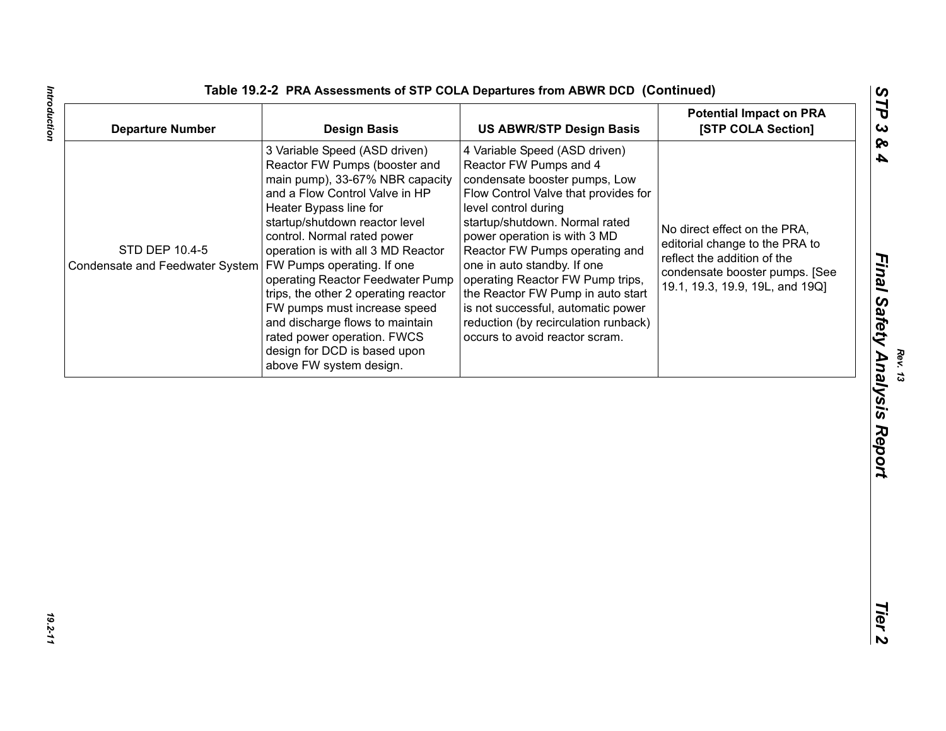| Table 19.2-2 PRA Assessments of STP COLA Departures from ABWR DCD (Continued) |  |  |
|-------------------------------------------------------------------------------|--|--|
|-------------------------------------------------------------------------------|--|--|

| <b>Departure Number</b>                           | <b>Design Basis</b>                                                                                                                                                                                                                                                                                                                                                                                                                                                                                                                                | <b>US ABWR/STP Design Basis</b>                                                                                                                                                                                                                                                                                                                                                                                                                                                      | <b>Potential Impact on PRA</b><br>[STP COLA Section]                                                                                                               |
|---------------------------------------------------|----------------------------------------------------------------------------------------------------------------------------------------------------------------------------------------------------------------------------------------------------------------------------------------------------------------------------------------------------------------------------------------------------------------------------------------------------------------------------------------------------------------------------------------------------|--------------------------------------------------------------------------------------------------------------------------------------------------------------------------------------------------------------------------------------------------------------------------------------------------------------------------------------------------------------------------------------------------------------------------------------------------------------------------------------|--------------------------------------------------------------------------------------------------------------------------------------------------------------------|
| STD DEP 10.4-5<br>Condensate and Feedwater System | 3 Variable Speed (ASD driven)<br>Reactor FW Pumps (booster and<br>main pump), 33-67% NBR capacity<br>and a Flow Control Valve in HP<br>Heater Bypass line for<br>startup/shutdown reactor level<br>control. Normal rated power<br>operation is with all 3 MD Reactor<br><b>FW Pumps operating. If one</b><br>operating Reactor Feedwater Pump<br>trips, the other 2 operating reactor<br>FW pumps must increase speed<br>and discharge flows to maintain<br>rated power operation. FWCS<br>design for DCD is based upon<br>above FW system design. | 4 Variable Speed (ASD driven)<br>Reactor FW Pumps and 4<br>condensate booster pumps, Low<br>Flow Control Valve that provides for<br>level control during<br>startup/shutdown. Normal rated<br>power operation is with 3 MD<br>Reactor FW Pumps operating and<br>one in auto standby. If one<br>operating Reactor FW Pump trips,<br>the Reactor FW Pump in auto start<br>is not successful, automatic power<br>reduction (by recirculation runback)<br>occurs to avoid reactor scram. | No direct effect on the PRA,<br>editorial change to the PRA to<br>reflect the addition of the<br>condensate booster pumps. [See<br>19.1, 19.3, 19.9, 19L, and 19Q] |
|                                                   |                                                                                                                                                                                                                                                                                                                                                                                                                                                                                                                                                    |                                                                                                                                                                                                                                                                                                                                                                                                                                                                                      |                                                                                                                                                                    |
|                                                   |                                                                                                                                                                                                                                                                                                                                                                                                                                                                                                                                                    |                                                                                                                                                                                                                                                                                                                                                                                                                                                                                      |                                                                                                                                                                    |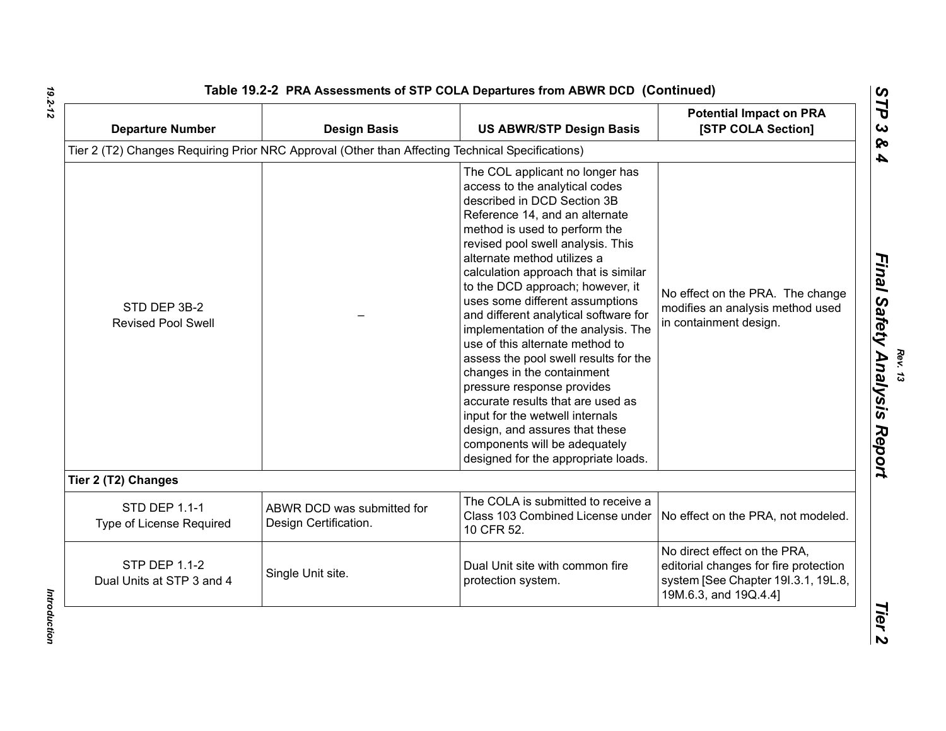| <b>Departure Number</b>                           | <b>Design Basis</b>                                                                              | <b>US ABWR/STP Design Basis</b>                                                                                                                                                                                                                                                                                                                                                                                                                                                                                                                                                                                                                                                                                                                                  | <b>Potential Impact on PRA</b><br>[STP COLA Section]                                                                                  |
|---------------------------------------------------|--------------------------------------------------------------------------------------------------|------------------------------------------------------------------------------------------------------------------------------------------------------------------------------------------------------------------------------------------------------------------------------------------------------------------------------------------------------------------------------------------------------------------------------------------------------------------------------------------------------------------------------------------------------------------------------------------------------------------------------------------------------------------------------------------------------------------------------------------------------------------|---------------------------------------------------------------------------------------------------------------------------------------|
|                                                   | Tier 2 (T2) Changes Requiring Prior NRC Approval (Other than Affecting Technical Specifications) |                                                                                                                                                                                                                                                                                                                                                                                                                                                                                                                                                                                                                                                                                                                                                                  |                                                                                                                                       |
| STD DEP 3B-2<br><b>Revised Pool Swell</b>         |                                                                                                  | The COL applicant no longer has<br>access to the analytical codes<br>described in DCD Section 3B<br>Reference 14, and an alternate<br>method is used to perform the<br>revised pool swell analysis. This<br>alternate method utilizes a<br>calculation approach that is similar<br>to the DCD approach; however, it<br>uses some different assumptions<br>and different analytical software for<br>implementation of the analysis. The<br>use of this alternate method to<br>assess the pool swell results for the<br>changes in the containment<br>pressure response provides<br>accurate results that are used as<br>input for the wetwell internals<br>design, and assures that these<br>components will be adequately<br>designed for the appropriate loads. | No effect on the PRA. The change<br>modifies an analysis method used<br>in containment design.                                        |
| Tier 2 (T2) Changes                               |                                                                                                  |                                                                                                                                                                                                                                                                                                                                                                                                                                                                                                                                                                                                                                                                                                                                                                  |                                                                                                                                       |
|                                                   |                                                                                                  |                                                                                                                                                                                                                                                                                                                                                                                                                                                                                                                                                                                                                                                                                                                                                                  |                                                                                                                                       |
| <b>STD DEP 1.1-1</b><br>Type of License Required  | ABWR DCD was submitted for<br>Design Certification.                                              | The COLA is submitted to receive a<br>Class 103 Combined License under<br>10 CFR 52.                                                                                                                                                                                                                                                                                                                                                                                                                                                                                                                                                                                                                                                                             | No effect on the PRA, not modeled.                                                                                                    |
| <b>STP DEP 1.1-2</b><br>Dual Units at STP 3 and 4 | Single Unit site.                                                                                | Dual Unit site with common fire<br>protection system.                                                                                                                                                                                                                                                                                                                                                                                                                                                                                                                                                                                                                                                                                                            | No direct effect on the PRA,<br>editorial changes for fire protection<br>system [See Chapter 191.3.1, 19L.8,<br>19M.6.3, and 19Q.4.4] |

Introduction *Introduction*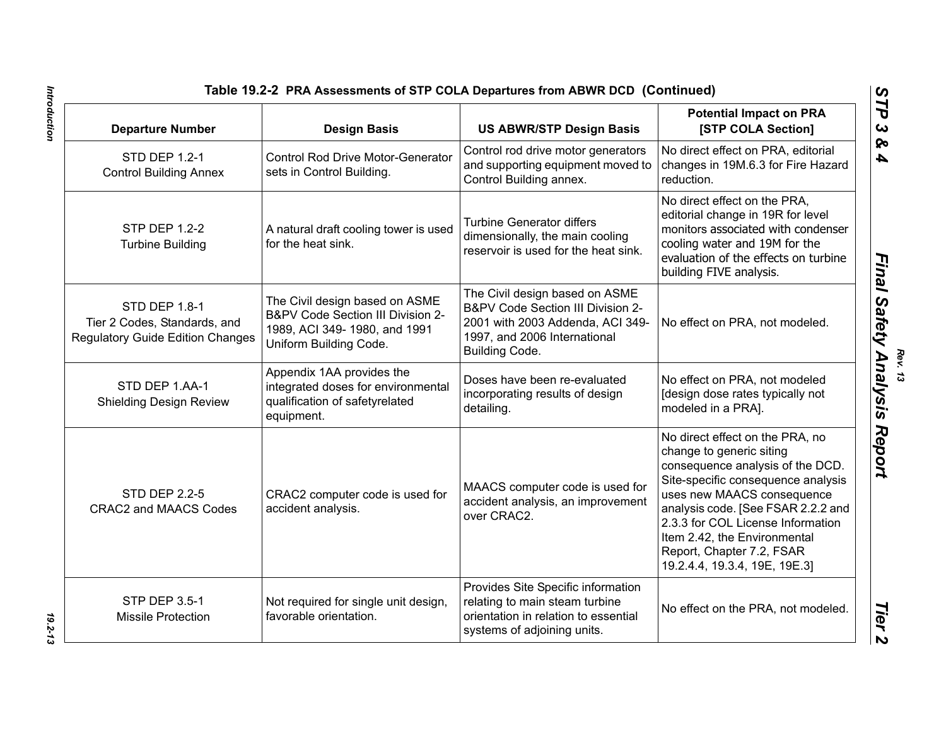| <b>Departure Number</b>                                                                  | <b>Design Basis</b>                                                                                                           | <b>US ABWR/STP Design Basis</b>                                                                                                                           | <b>Potential Impact on PRA</b><br>[STP COLA Section]                                                                                                                                                                                                                                                                                         |
|------------------------------------------------------------------------------------------|-------------------------------------------------------------------------------------------------------------------------------|-----------------------------------------------------------------------------------------------------------------------------------------------------------|----------------------------------------------------------------------------------------------------------------------------------------------------------------------------------------------------------------------------------------------------------------------------------------------------------------------------------------------|
| <b>STD DEP 1.2-1</b><br><b>Control Building Annex</b>                                    | <b>Control Rod Drive Motor-Generator</b><br>sets in Control Building.                                                         | Control rod drive motor generators<br>and supporting equipment moved to<br>Control Building annex.                                                        | No direct effect on PRA, editorial<br>changes in 19M.6.3 for Fire Hazard<br>reduction.                                                                                                                                                                                                                                                       |
| <b>STP DEP 1.2-2</b><br><b>Turbine Building</b>                                          | A natural draft cooling tower is used<br>for the heat sink.                                                                   | <b>Turbine Generator differs</b><br>dimensionally, the main cooling<br>reservoir is used for the heat sink.                                               | No direct effect on the PRA,<br>editorial change in 19R for level<br>monitors associated with condenser<br>cooling water and 19M for the<br>evaluation of the effects on turbine<br>building FIVE analysis.                                                                                                                                  |
| STD DEP 1.8-1<br>Tier 2 Codes, Standards, and<br><b>Regulatory Guide Edition Changes</b> | The Civil design based on ASME<br>B&PV Code Section III Division 2-<br>1989, ACI 349-1980, and 1991<br>Uniform Building Code. | The Civil design based on ASME<br>B&PV Code Section III Division 2-<br>2001 with 2003 Addenda, ACI 349-<br>1997, and 2006 International<br>Building Code. | No effect on PRA, not modeled.                                                                                                                                                                                                                                                                                                               |
| STD DEP 1.AA-1<br><b>Shielding Design Review</b>                                         | Appendix 1AA provides the<br>integrated doses for environmental<br>qualification of safetyrelated<br>equipment.               | Doses have been re-evaluated<br>incorporating results of design<br>detailing.                                                                             | No effect on PRA, not modeled<br>[design dose rates typically not<br>modeled in a PRA].                                                                                                                                                                                                                                                      |
| <b>STD DEP 2.2-5</b><br><b>CRAC2 and MAACS Codes</b>                                     | CRAC2 computer code is used for<br>accident analysis.                                                                         | MAACS computer code is used for<br>accident analysis, an improvement<br>over CRAC2.                                                                       | No direct effect on the PRA, no<br>change to generic siting<br>consequence analysis of the DCD.<br>Site-specific consequence analysis<br>uses new MAACS consequence<br>analysis code. [See FSAR 2.2.2 and<br>2.3.3 for COL License Information<br>Item 2.42, the Environmental<br>Report, Chapter 7.2, FSAR<br>19.2.4.4, 19.3.4, 19E, 19E.3] |
| <b>STP DEP 3.5-1</b><br><b>Missile Protection</b>                                        | Not required for single unit design,<br>favorable orientation.                                                                | Provides Site Specific information<br>relating to main steam turbine<br>orientation in relation to essential<br>systems of adjoining units.               | No effect on the PRA, not modeled.                                                                                                                                                                                                                                                                                                           |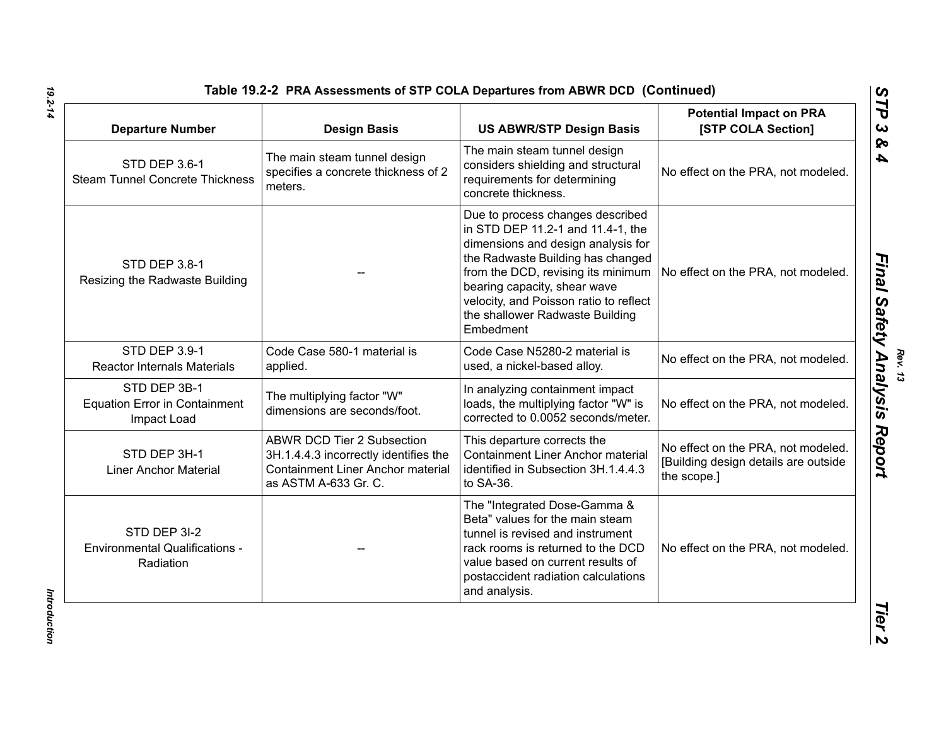| <b>Departure Number</b>                                             | <b>Design Basis</b>                                                                                                                            | <b>US ABWR/STP Design Basis</b>                                                                                                                                                                                                                                                                                  | <b>Potential Impact on PRA</b><br>[STP COLA Section]                                      |
|---------------------------------------------------------------------|------------------------------------------------------------------------------------------------------------------------------------------------|------------------------------------------------------------------------------------------------------------------------------------------------------------------------------------------------------------------------------------------------------------------------------------------------------------------|-------------------------------------------------------------------------------------------|
| STD DEP 3.6-1<br><b>Steam Tunnel Concrete Thickness</b>             | The main steam tunnel design<br>specifies a concrete thickness of 2<br>meters.                                                                 | The main steam tunnel design<br>considers shielding and structural<br>requirements for determining<br>concrete thickness.                                                                                                                                                                                        | No effect on the PRA, not modeled.                                                        |
| STD DEP 3.8-1<br>Resizing the Radwaste Building                     |                                                                                                                                                | Due to process changes described<br>in STD DEP 11.2-1 and 11.4-1, the<br>dimensions and design analysis for<br>the Radwaste Building has changed<br>from the DCD, revising its minimum<br>bearing capacity, shear wave<br>velocity, and Poisson ratio to reflect<br>the shallower Radwaste Building<br>Embedment | No effect on the PRA, not modeled.                                                        |
| STD DEP 3.9-1<br><b>Reactor Internals Materials</b>                 | Code Case 580-1 material is<br>applied.                                                                                                        | Code Case N5280-2 material is<br>used, a nickel-based alloy.                                                                                                                                                                                                                                                     | No effect on the PRA, not modeled.                                                        |
| STD DEP 3B-1<br><b>Equation Error in Containment</b><br>Impact Load | The multiplying factor "W"<br>dimensions are seconds/foot.                                                                                     | In analyzing containment impact<br>loads, the multiplying factor "W" is<br>corrected to 0.0052 seconds/meter.                                                                                                                                                                                                    | No effect on the PRA, not modeled.                                                        |
| STD DEP 3H-1<br><b>Liner Anchor Material</b>                        | <b>ABWR DCD Tier 2 Subsection</b><br>3H.1.4.4.3 incorrectly identifies the<br><b>Containment Liner Anchor material</b><br>as ASTM A-633 Gr. C. | This departure corrects the<br><b>Containment Liner Anchor material</b><br>identified in Subsection 3H.1.4.4.3<br>to SA-36.                                                                                                                                                                                      | No effect on the PRA, not modeled.<br>[Building design details are outside<br>the scope.] |
| STD DEP 3I-2<br><b>Environmental Qualifications -</b><br>Radiation  |                                                                                                                                                | The "Integrated Dose-Gamma &<br>Beta" values for the main steam<br>tunnel is revised and instrument<br>rack rooms is returned to the DCD<br>value based on current results of<br>postaccident radiation calculations<br>and analysis.                                                                            | No effect on the PRA, not modeled.                                                        |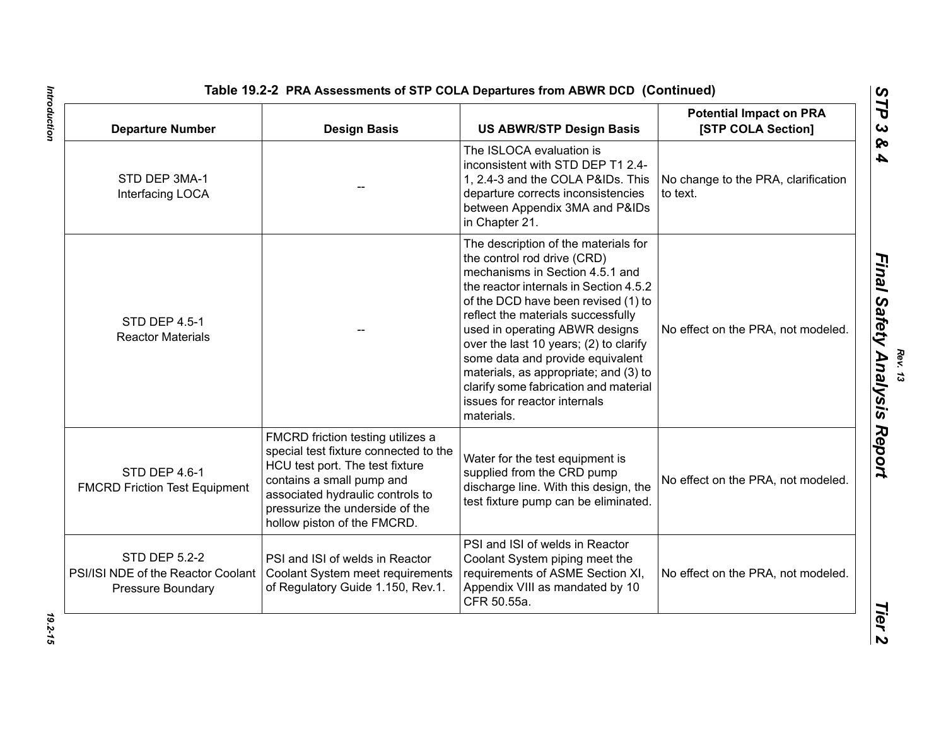| <b>Departure Number</b>                                                                | <b>Design Basis</b>                                                                                                                                                                                                                              | <b>US ABWR/STP Design Basis</b>                                                                                                                                                                                                                                                                                                                                                                                                                                               | <b>Potential Impact on PRA</b><br>[STP COLA Section] |
|----------------------------------------------------------------------------------------|--------------------------------------------------------------------------------------------------------------------------------------------------------------------------------------------------------------------------------------------------|-------------------------------------------------------------------------------------------------------------------------------------------------------------------------------------------------------------------------------------------------------------------------------------------------------------------------------------------------------------------------------------------------------------------------------------------------------------------------------|------------------------------------------------------|
| STD DEP 3MA-1<br>Interfacing LOCA                                                      |                                                                                                                                                                                                                                                  | The ISLOCA evaluation is<br>inconsistent with STD DEP T1 2.4-<br>1, 2.4-3 and the COLA P&IDs. This<br>departure corrects inconsistencies<br>between Appendix 3MA and P&IDs<br>in Chapter 21.                                                                                                                                                                                                                                                                                  | No change to the PRA, clarification<br>to text.      |
| STD DEP 4.5-1<br><b>Reactor Materials</b>                                              |                                                                                                                                                                                                                                                  | The description of the materials for<br>the control rod drive (CRD)<br>mechanisms in Section 4.5.1 and<br>the reactor internals in Section 4.5.2<br>of the DCD have been revised (1) to<br>reflect the materials successfully<br>used in operating ABWR designs<br>over the last 10 years; (2) to clarify<br>some data and provide equivalent<br>materials, as appropriate; and (3) to<br>clarify some fabrication and material<br>issues for reactor internals<br>materials. | No effect on the PRA, not modeled.                   |
| STD DEP 4.6-1<br><b>FMCRD Friction Test Equipment</b>                                  | FMCRD friction testing utilizes a<br>special test fixture connected to the<br>HCU test port. The test fixture<br>contains a small pump and<br>associated hydraulic controls to<br>pressurize the underside of the<br>hollow piston of the FMCRD. | Water for the test equipment is<br>supplied from the CRD pump<br>discharge line. With this design, the<br>test fixture pump can be eliminated.                                                                                                                                                                                                                                                                                                                                | No effect on the PRA, not modeled.                   |
| <b>STD DEP 5.2-2</b><br>PSI/ISI NDE of the Reactor Coolant<br><b>Pressure Boundary</b> | PSI and ISI of welds in Reactor<br>Coolant System meet requirements<br>of Regulatory Guide 1.150, Rev.1.                                                                                                                                         | PSI and ISI of welds in Reactor<br>Coolant System piping meet the<br>requirements of ASME Section XI,<br>Appendix VIII as mandated by 10<br>CFR 50.55a.                                                                                                                                                                                                                                                                                                                       | No effect on the PRA, not modeled.                   |

# Introduction *Introduction 19.2-15*

19.2-15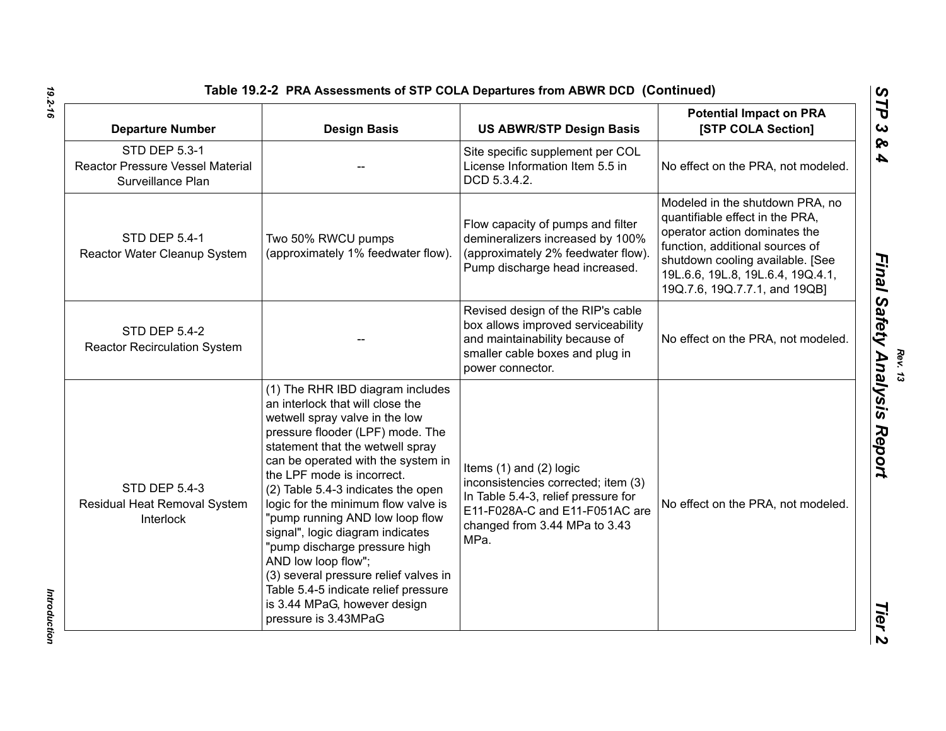| Table 19.2-2 PRA Assessments of STP COLA Departures from ABWR DCD (Continued |  |
|------------------------------------------------------------------------------|--|
|------------------------------------------------------------------------------|--|

| <b>Departure Number</b>                                                              | <b>Design Basis</b>                                                                                                                                                                                                                                                                                                                                                                                                                                                                                                                                                                                     | <b>US ABWR/STP Design Basis</b>                                                                                                                                                      | <b>Potential Impact on PRA</b><br>[STP COLA Section]                                                                                                                                                                                             |
|--------------------------------------------------------------------------------------|---------------------------------------------------------------------------------------------------------------------------------------------------------------------------------------------------------------------------------------------------------------------------------------------------------------------------------------------------------------------------------------------------------------------------------------------------------------------------------------------------------------------------------------------------------------------------------------------------------|--------------------------------------------------------------------------------------------------------------------------------------------------------------------------------------|--------------------------------------------------------------------------------------------------------------------------------------------------------------------------------------------------------------------------------------------------|
| <b>STD DEP 5.3-1</b><br><b>Reactor Pressure Vessel Material</b><br>Surveillance Plan |                                                                                                                                                                                                                                                                                                                                                                                                                                                                                                                                                                                                         | Site specific supplement per COL<br>License Information Item 5.5 in<br>DCD 5.3.4.2.                                                                                                  | No effect on the PRA, not modeled.                                                                                                                                                                                                               |
| <b>STD DEP 5.4-1</b><br>Reactor Water Cleanup System                                 | Two 50% RWCU pumps<br>(approximately 1% feedwater flow).                                                                                                                                                                                                                                                                                                                                                                                                                                                                                                                                                | Flow capacity of pumps and filter<br>demineralizers increased by 100%<br>(approximately 2% feedwater flow).<br>Pump discharge head increased.                                        | Modeled in the shutdown PRA, no<br>quantifiable effect in the PRA,<br>operator action dominates the<br>function, additional sources of<br>shutdown cooling available. [See<br>19L.6.6, 19L.8, 19L.6.4, 19Q.4.1,<br>19Q.7.6, 19Q.7.7.1, and 19QB] |
| <b>STD DEP 5.4-2</b><br><b>Reactor Recirculation System</b>                          |                                                                                                                                                                                                                                                                                                                                                                                                                                                                                                                                                                                                         | Revised design of the RIP's cable<br>box allows improved serviceability<br>and maintainability because of<br>smaller cable boxes and plug in<br>power connector.                     | No effect on the PRA, not modeled.                                                                                                                                                                                                               |
| <b>STD DEP 5.4-3</b><br>Residual Heat Removal System<br>Interlock                    | (1) The RHR IBD diagram includes<br>an interlock that will close the<br>wetwell spray valve in the low<br>pressure flooder (LPF) mode. The<br>statement that the wetwell spray<br>can be operated with the system in<br>the LPF mode is incorrect.<br>(2) Table 5.4-3 indicates the open<br>logic for the minimum flow valve is<br>"pump running AND low loop flow<br>signal", logic diagram indicates<br>"pump discharge pressure high<br>AND low loop flow";<br>(3) several pressure relief valves in<br>Table 5.4-5 indicate relief pressure<br>is 3.44 MPaG, however design<br>pressure is 3.43MPaG | Items $(1)$ and $(2)$ logic<br>inconsistencies corrected; item (3)<br>In Table 5.4-3, relief pressure for<br>E11-F028A-C and E11-F051AC are<br>changed from 3.44 MPa to 3.43<br>MPa. | No effect on the PRA, not modeled.                                                                                                                                                                                                               |

Introduction *Introduction* 

*Rev. 13*<br>*Final Safety Analysis Report*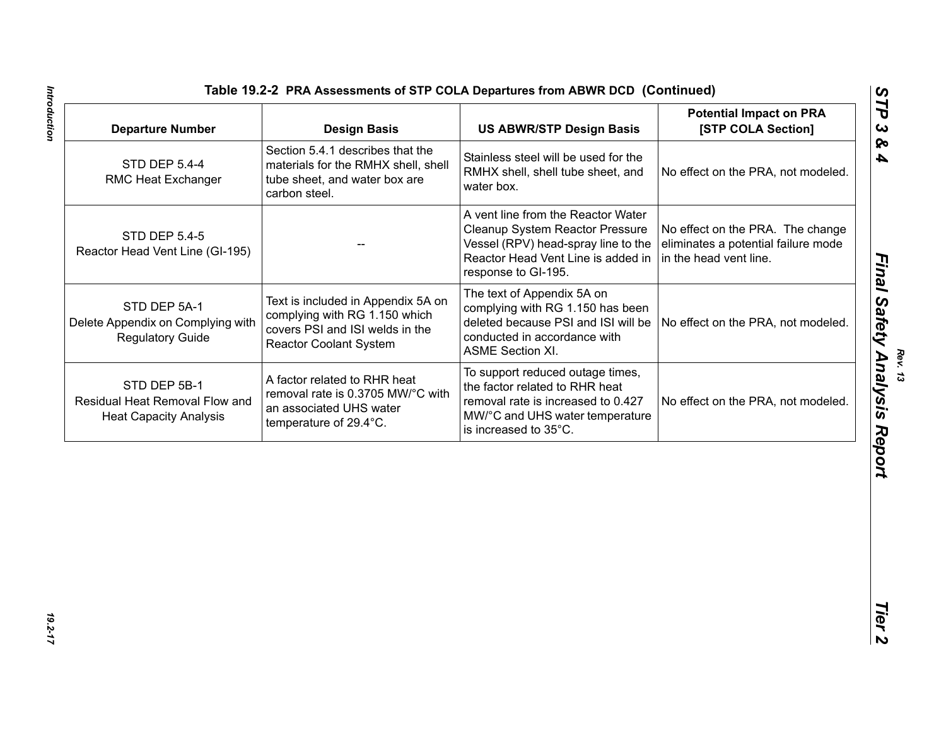| <b>STD DEP 5.4-4</b>                                                            | <b>Design Basis</b>                                                                                                                     | <b>US ABWR/STP Design Basis</b>                                                                                                                                           | <b>Potential Impact on PRA</b><br>[STP COLA Section]                                              |
|---------------------------------------------------------------------------------|-----------------------------------------------------------------------------------------------------------------------------------------|---------------------------------------------------------------------------------------------------------------------------------------------------------------------------|---------------------------------------------------------------------------------------------------|
| RMC Heat Exchanger                                                              | Section 5.4.1 describes that the<br>materials for the RMHX shell, shell<br>tube sheet, and water box are<br>carbon steel.               | Stainless steel will be used for the<br>RMHX shell, shell tube sheet, and<br>water box.                                                                                   | No effect on the PRA, not modeled.                                                                |
| <b>STD DEP 5.4-5</b><br>Reactor Head Vent Line (GI-195)                         |                                                                                                                                         | A vent line from the Reactor Water<br>Cleanup System Reactor Pressure<br>Vessel (RPV) head-spray line to the<br>Reactor Head Vent Line is added in<br>response to GI-195. | No effect on the PRA. The change<br>eliminates a potential failure mode<br>in the head vent line. |
| STD DEP 5A-1<br>Delete Appendix on Complying with<br><b>Regulatory Guide</b>    | Text is included in Appendix 5A on<br>complying with RG 1.150 which<br>covers PSI and ISI welds in the<br><b>Reactor Coolant System</b> | The text of Appendix 5A on<br>complying with RG 1.150 has been<br>deleted because PSI and ISI will be<br>conducted in accordance with<br><b>ASME Section XI.</b>          | No effect on the PRA, not modeled.                                                                |
| STD DEP 5B-1<br>Residual Heat Removal Flow and<br><b>Heat Capacity Analysis</b> | A factor related to RHR heat<br>removal rate is 0.3705 MW/°C with<br>an associated UHS water<br>temperature of 29.4°C.                  | To support reduced outage times,<br>the factor related to RHR heat<br>removal rate is increased to 0.427<br>MW/°C and UHS water temperature<br>is increased to 35°C.      | No effect on the PRA, not modeled.                                                                |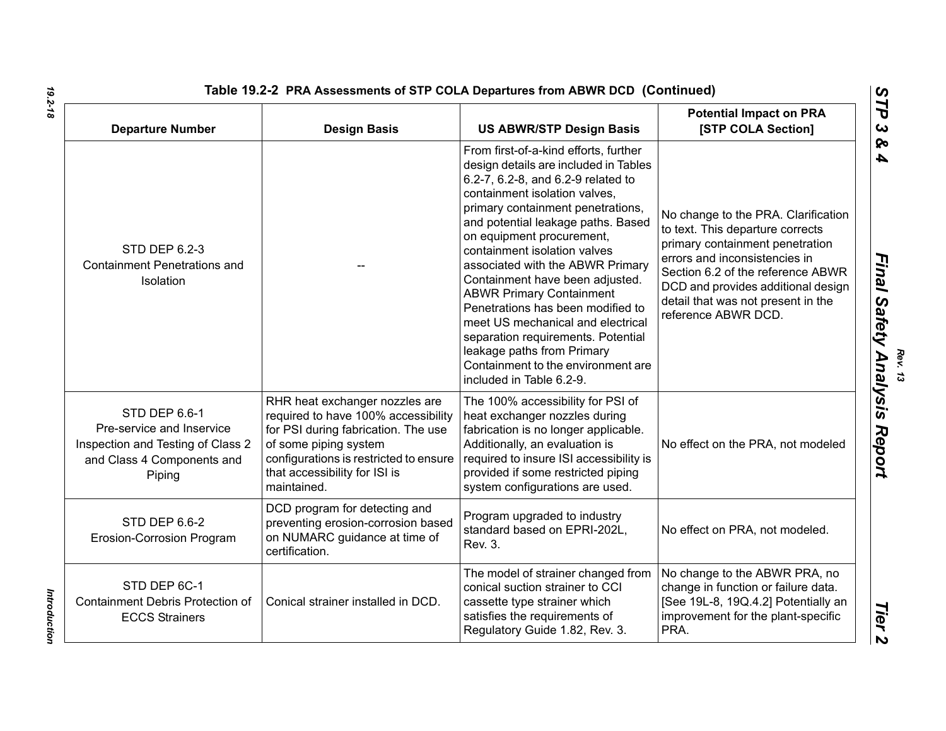| <b>Departure Number</b>                                                                                                 | <b>Design Basis</b>                                                                                                                                                                                                             | <b>US ABWR/STP Design Basis</b>                                                                                                                                                                                                                                                                                                                                                                                                                                                                                                                                                                                         | <b>Potential Impact on PRA</b><br>[STP COLA Section]                                                                                                                                                                                                                                |
|-------------------------------------------------------------------------------------------------------------------------|---------------------------------------------------------------------------------------------------------------------------------------------------------------------------------------------------------------------------------|-------------------------------------------------------------------------------------------------------------------------------------------------------------------------------------------------------------------------------------------------------------------------------------------------------------------------------------------------------------------------------------------------------------------------------------------------------------------------------------------------------------------------------------------------------------------------------------------------------------------------|-------------------------------------------------------------------------------------------------------------------------------------------------------------------------------------------------------------------------------------------------------------------------------------|
| <b>STD DEP 6.2-3</b><br><b>Containment Penetrations and</b><br>Isolation                                                |                                                                                                                                                                                                                                 | From first-of-a-kind efforts, further<br>design details are included in Tables<br>6.2-7, 6.2-8, and 6.2-9 related to<br>containment isolation valves,<br>primary containment penetrations,<br>and potential leakage paths. Based<br>on equipment procurement,<br>containment isolation valves<br>associated with the ABWR Primary<br>Containment have been adjusted.<br><b>ABWR Primary Containment</b><br>Penetrations has been modified to<br>meet US mechanical and electrical<br>separation requirements. Potential<br>leakage paths from Primary<br>Containment to the environment are<br>included in Table 6.2-9. | No change to the PRA. Clarification<br>to text. This departure corrects<br>primary containment penetration<br>errors and inconsistencies in<br>Section 6.2 of the reference ABWR<br>DCD and provides additional design<br>detail that was not present in the<br>reference ABWR DCD. |
| STD DEP 6.6-1<br>Pre-service and Inservice<br>Inspection and Testing of Class 2<br>and Class 4 Components and<br>Piping | RHR heat exchanger nozzles are<br>required to have 100% accessibility<br>for PSI during fabrication. The use<br>of some piping system<br>configurations is restricted to ensure<br>that accessibility for ISI is<br>maintained. | The 100% accessibility for PSI of<br>heat exchanger nozzles during<br>fabrication is no longer applicable.<br>Additionally, an evaluation is<br>required to insure ISI accessibility is<br>provided if some restricted piping<br>system configurations are used.                                                                                                                                                                                                                                                                                                                                                        | No effect on the PRA, not modeled                                                                                                                                                                                                                                                   |
| STD DEP 6.6-2<br>Erosion-Corrosion Program                                                                              | DCD program for detecting and<br>preventing erosion-corrosion based<br>on NUMARC guidance at time of<br>certification.                                                                                                          | Program upgraded to industry<br>standard based on EPRI-202L,<br>Rev. 3.                                                                                                                                                                                                                                                                                                                                                                                                                                                                                                                                                 | No effect on PRA, not modeled.                                                                                                                                                                                                                                                      |
| STD DEP 6C-1<br>Containment Debris Protection of<br><b>ECCS Strainers</b>                                               | Conical strainer installed in DCD.                                                                                                                                                                                              | The model of strainer changed from<br>conical suction strainer to CCI<br>cassette type strainer which<br>satisfies the requirements of<br>Regulatory Guide 1.82, Rev. 3.                                                                                                                                                                                                                                                                                                                                                                                                                                                | No change to the ABWR PRA, no<br>change in function or failure data.<br>[See 19L-8, 19Q.4.2] Potentially an<br>improvement for the plant-specific<br>PRA.                                                                                                                           |

Introduction *Introduction*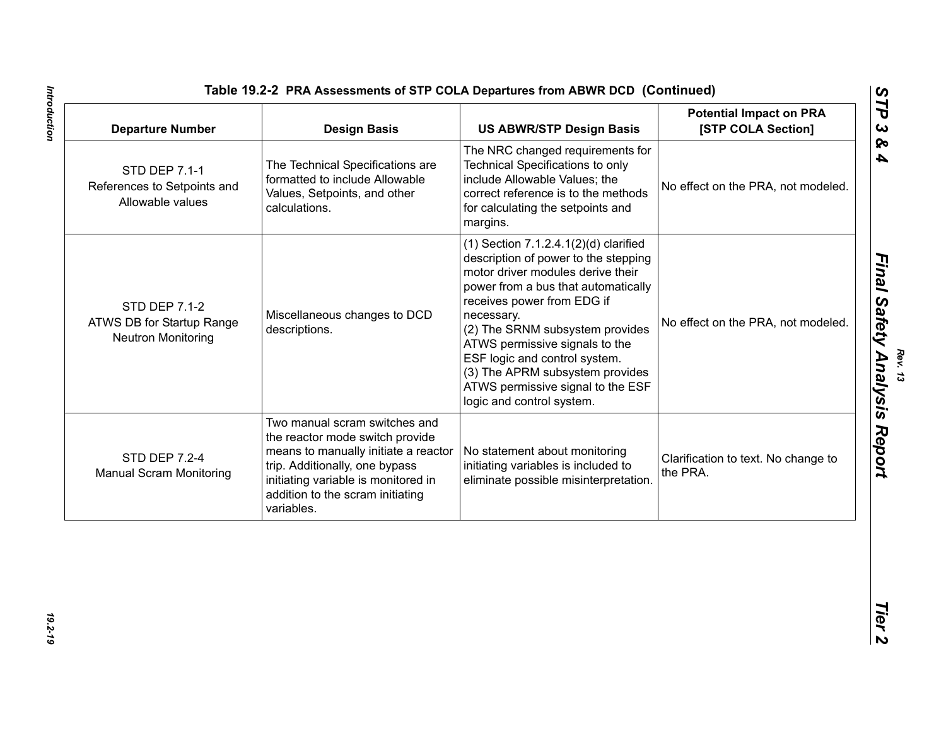| Table 19.2-2 PRA Assessments of STP COLA Departures from ABWR DCD (Continued |  |
|------------------------------------------------------------------------------|--|
|------------------------------------------------------------------------------|--|

| <b>Departure Number</b>                                                        | <b>Design Basis</b>                                                                                                                                                                                                                 | <b>US ABWR/STP Design Basis</b>                                                                                                                                                                                                                                                                                                                                                                                       | <b>Potential Impact on PRA</b><br>[STP COLA Section] |
|--------------------------------------------------------------------------------|-------------------------------------------------------------------------------------------------------------------------------------------------------------------------------------------------------------------------------------|-----------------------------------------------------------------------------------------------------------------------------------------------------------------------------------------------------------------------------------------------------------------------------------------------------------------------------------------------------------------------------------------------------------------------|------------------------------------------------------|
| STD DEP 7.1-1<br>References to Setpoints and<br>Allowable values               | The Technical Specifications are<br>formatted to include Allowable<br>Values, Setpoints, and other<br>calculations.                                                                                                                 | The NRC changed requirements for<br>Technical Specifications to only<br>include Allowable Values; the<br>correct reference is to the methods<br>for calculating the setpoints and<br>margins.                                                                                                                                                                                                                         | No effect on the PRA, not modeled.                   |
| <b>STD DEP 7.1-2</b><br>ATWS DB for Startup Range<br><b>Neutron Monitoring</b> | Miscellaneous changes to DCD<br>descriptions.                                                                                                                                                                                       | $(1)$ Section 7.1.2.4.1 $(2)(d)$ clarified<br>description of power to the stepping<br>motor driver modules derive their<br>power from a bus that automatically<br>receives power from EDG if<br>necessary.<br>(2) The SRNM subsystem provides<br>ATWS permissive signals to the<br>ESF logic and control system.<br>(3) The APRM subsystem provides<br>ATWS permissive signal to the ESF<br>logic and control system. | No effect on the PRA, not modeled.                   |
| <b>STD DEP 7.2-4</b><br><b>Manual Scram Monitoring</b>                         | Two manual scram switches and<br>the reactor mode switch provide<br>means to manually initiate a reactor<br>trip. Additionally, one bypass<br>initiating variable is monitored in<br>addition to the scram initiating<br>variables. | No statement about monitoring<br>initiating variables is included to<br>eliminate possible misinterpretation.                                                                                                                                                                                                                                                                                                         | Clarification to text. No change to<br>the PRA.      |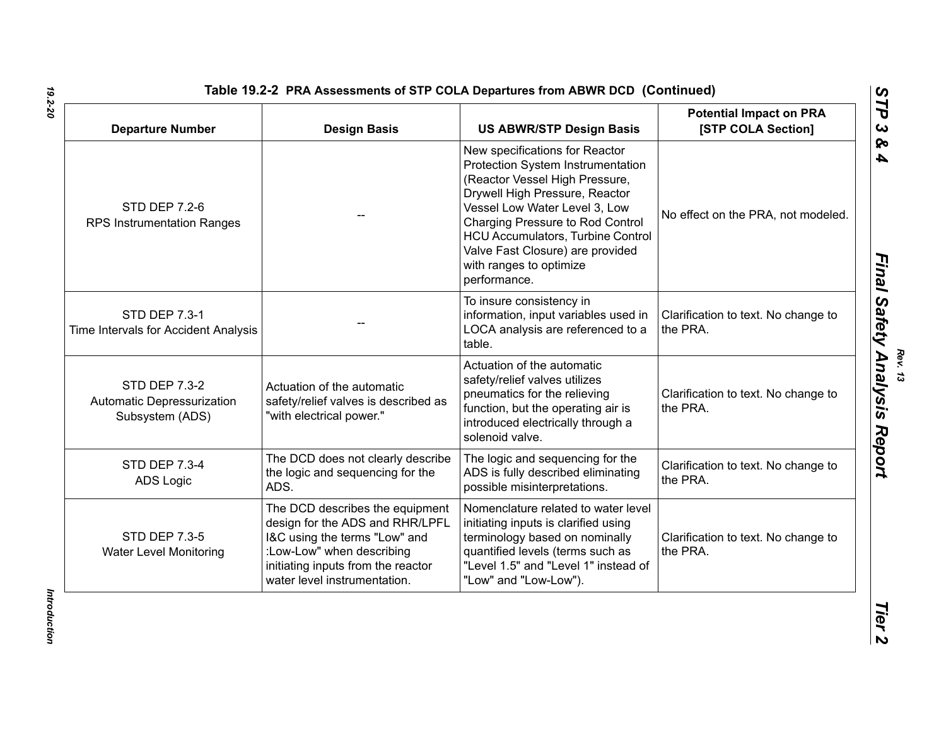| <b>Departure Number</b>                                               | <b>Design Basis</b>                                                                                                                                                                                    | <b>US ABWR/STP Design Basis</b>                                                                                                                                                                                                                                                                                                         | <b>Potential Impact on PRA</b><br>[STP COLA Section] |
|-----------------------------------------------------------------------|--------------------------------------------------------------------------------------------------------------------------------------------------------------------------------------------------------|-----------------------------------------------------------------------------------------------------------------------------------------------------------------------------------------------------------------------------------------------------------------------------------------------------------------------------------------|------------------------------------------------------|
| <b>STD DEP 7.2-6</b><br><b>RPS Instrumentation Ranges</b>             |                                                                                                                                                                                                        | New specifications for Reactor<br>Protection System Instrumentation<br>(Reactor Vessel High Pressure,<br>Drywell High Pressure, Reactor<br>Vessel Low Water Level 3, Low<br>Charging Pressure to Rod Control<br><b>HCU Accumulators, Turbine Control</b><br>Valve Fast Closure) are provided<br>with ranges to optimize<br>performance. | No effect on the PRA, not modeled.                   |
| <b>STD DEP 7.3-1</b><br>Time Intervals for Accident Analysis          |                                                                                                                                                                                                        | To insure consistency in<br>information, input variables used in<br>LOCA analysis are referenced to a<br>table.                                                                                                                                                                                                                         | Clarification to text. No change to<br>the PRA.      |
| <b>STD DEP 7.3-2</b><br>Automatic Depressurization<br>Subsystem (ADS) | Actuation of the automatic<br>safety/relief valves is described as<br>"with electrical power."                                                                                                         | Actuation of the automatic<br>safety/relief valves utilizes<br>pneumatics for the relieving<br>function, but the operating air is<br>introduced electrically through a<br>solenoid valve.                                                                                                                                               | Clarification to text. No change to<br>the PRA.      |
| <b>STD DEP 7.3-4</b><br>ADS Logic                                     | The DCD does not clearly describe<br>the logic and sequencing for the<br>ADS.                                                                                                                          | The logic and sequencing for the<br>ADS is fully described eliminating<br>possible misinterpretations.                                                                                                                                                                                                                                  | Clarification to text. No change to<br>the PRA.      |
| <b>STD DEP 7.3-5</b><br><b>Water Level Monitoring</b>                 | The DCD describes the equipment<br>design for the ADS and RHR/LPFL<br>I&C using the terms "Low" and<br>:Low-Low" when describing<br>initiating inputs from the reactor<br>water level instrumentation. | Nomenclature related to water level<br>initiating inputs is clarified using<br>terminology based on nominally<br>quantified levels (terms such as<br>"Level 1.5" and "Level 1" instead of<br>"Low" and "Low-Low").                                                                                                                      | Clarification to text. No change to<br>the PRA.      |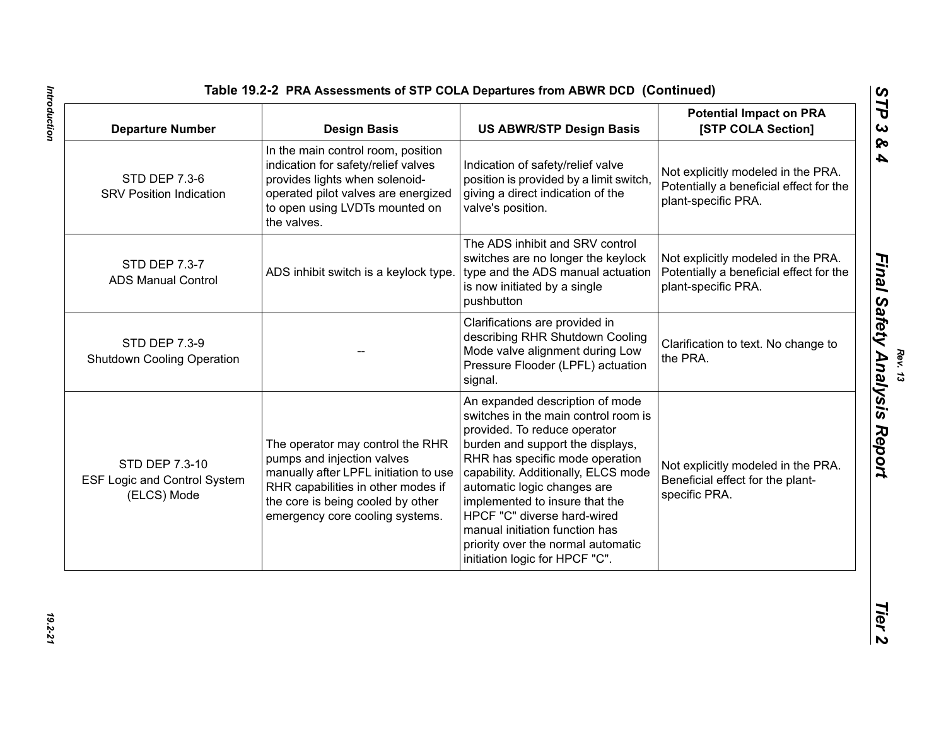| <b>Departure Number</b>                                              | <b>Design Basis</b>                                                                                                                                                                                                   | <b>US ABWR/STP Design Basis</b>                                                                                                                                                                                                                                                                                                                                                                                                 | <b>Potential Impact on PRA</b><br>[STP COLA Section]                                                 |
|----------------------------------------------------------------------|-----------------------------------------------------------------------------------------------------------------------------------------------------------------------------------------------------------------------|---------------------------------------------------------------------------------------------------------------------------------------------------------------------------------------------------------------------------------------------------------------------------------------------------------------------------------------------------------------------------------------------------------------------------------|------------------------------------------------------------------------------------------------------|
| <b>STD DEP 7.3-6</b><br><b>SRV Position Indication</b>               | In the main control room, position<br>indication for safety/relief valves<br>provides lights when solenoid-<br>operated pilot valves are energized<br>to open using LVDTs mounted on<br>the valves.                   | Indication of safety/relief valve<br>position is provided by a limit switch,<br>giving a direct indication of the<br>valve's position.                                                                                                                                                                                                                                                                                          | Not explicitly modeled in the PRA.<br>Potentially a beneficial effect for the<br>plant-specific PRA. |
| STD DEP 7.3-7<br><b>ADS Manual Control</b>                           | ADS inhibit switch is a keylock type.                                                                                                                                                                                 | The ADS inhibit and SRV control<br>switches are no longer the keylock<br>type and the ADS manual actuation<br>is now initiated by a single<br>pushbutton                                                                                                                                                                                                                                                                        | Not explicitly modeled in the PRA.<br>Potentially a beneficial effect for the<br>plant-specific PRA. |
| <b>STD DEP 7.3-9</b><br><b>Shutdown Cooling Operation</b>            |                                                                                                                                                                                                                       | Clarifications are provided in<br>describing RHR Shutdown Cooling<br>Mode valve alignment during Low<br>Pressure Flooder (LPFL) actuation<br>signal.                                                                                                                                                                                                                                                                            | Clarification to text. No change to<br>the PRA.                                                      |
| STD DEP 7.3-10<br><b>ESF Logic and Control System</b><br>(ELCS) Mode | The operator may control the RHR<br>pumps and injection valves<br>manually after LPFL initiation to use<br>RHR capabilities in other modes if<br>the core is being cooled by other<br>emergency core cooling systems. | An expanded description of mode<br>switches in the main control room is<br>provided. To reduce operator<br>burden and support the displays,<br>RHR has specific mode operation<br>capability. Additionally, ELCS mode<br>automatic logic changes are<br>implemented to insure that the<br>HPCF "C" diverse hard-wired<br>manual initiation function has<br>priority over the normal automatic<br>initiation logic for HPCF "C". | Not explicitly modeled in the PRA.<br>Beneficial effect for the plant-<br>specific PRA.              |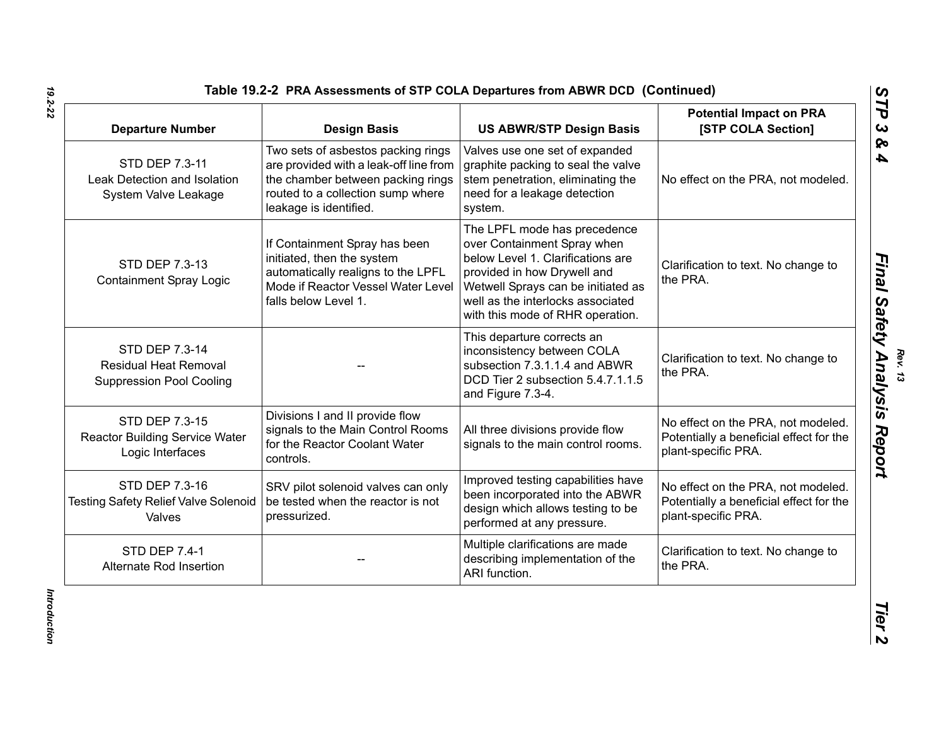| <b>Departure Number</b>                                                           | <b>Design Basis</b>                                                                                                                                                              | <b>US ABWR/STP Design Basis</b>                                                                                                                                                                                                                | <b>Potential Impact on PRA</b><br>[STP COLA Section]                                                 |
|-----------------------------------------------------------------------------------|----------------------------------------------------------------------------------------------------------------------------------------------------------------------------------|------------------------------------------------------------------------------------------------------------------------------------------------------------------------------------------------------------------------------------------------|------------------------------------------------------------------------------------------------------|
| STD DEP 7.3-11<br>Leak Detection and Isolation<br>System Valve Leakage            | Two sets of asbestos packing rings<br>are provided with a leak-off line from<br>the chamber between packing rings<br>routed to a collection sump where<br>leakage is identified. | Valves use one set of expanded<br>graphite packing to seal the valve<br>stem penetration, eliminating the<br>need for a leakage detection<br>system.                                                                                           | No effect on the PRA, not modeled.                                                                   |
| STD DEP 7.3-13<br><b>Containment Spray Logic</b>                                  | If Containment Spray has been<br>initiated, then the system<br>automatically realigns to the LPFL<br>Mode if Reactor Vessel Water Level<br>falls below Level 1.                  | The LPFL mode has precedence<br>over Containment Spray when<br>below Level 1. Clarifications are<br>provided in how Drywell and<br>Wetwell Sprays can be initiated as<br>well as the interlocks associated<br>with this mode of RHR operation. | Clarification to text. No change to<br>the PRA.                                                      |
| STD DEP 7.3-14<br><b>Residual Heat Removal</b><br><b>Suppression Pool Cooling</b> |                                                                                                                                                                                  | This departure corrects an<br>inconsistency between COLA<br>subsection 7.3.1.1.4 and ABWR<br>DCD Tier 2 subsection 5.4.7.1.1.5<br>and Figure 7.3-4.                                                                                            | Clarification to text. No change to<br>the PRA.                                                      |
| STD DEP 7.3-15<br><b>Reactor Building Service Water</b><br>Logic Interfaces       | Divisions I and II provide flow<br>signals to the Main Control Rooms<br>for the Reactor Coolant Water<br>controls.                                                               | All three divisions provide flow<br>signals to the main control rooms.                                                                                                                                                                         | No effect on the PRA, not modeled.<br>Potentially a beneficial effect for the<br>plant-specific PRA. |
| STD DEP 7.3-16<br><b>Testing Safety Relief Valve Solenoid</b><br>Valves           | SRV pilot solenoid valves can only<br>be tested when the reactor is not<br>pressurized.                                                                                          | Improved testing capabilities have<br>been incorporated into the ABWR<br>design which allows testing to be<br>performed at any pressure.                                                                                                       | No effect on the PRA, not modeled.<br>Potentially a beneficial effect for the<br>plant-specific PRA. |
| <b>STD DEP 7.4-1</b><br>Alternate Rod Insertion                                   |                                                                                                                                                                                  | Multiple clarifications are made<br>describing implementation of the<br>ARI function.                                                                                                                                                          | Clarification to text. No change to<br>the PRA.                                                      |

*Final Safety Analysis Report*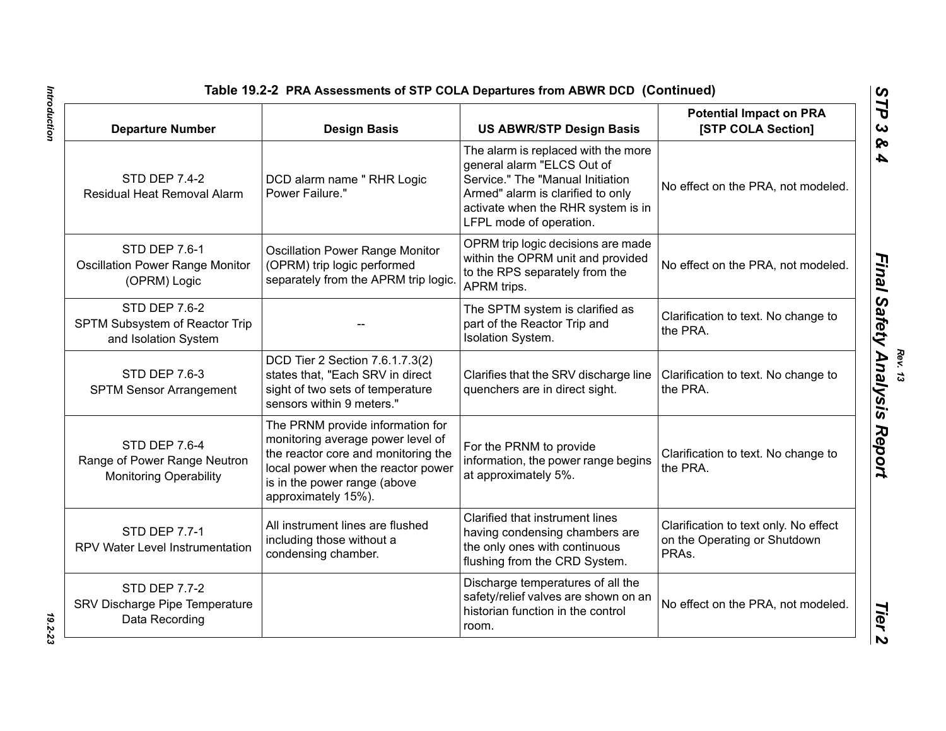| Table 19.2-2 PRA Assessments of STP COLA Departures from ABWR DCD (Continued)  |                                                                                                                                                                                                           |                                                                                                                                                                                                             |                                                                                |
|--------------------------------------------------------------------------------|-----------------------------------------------------------------------------------------------------------------------------------------------------------------------------------------------------------|-------------------------------------------------------------------------------------------------------------------------------------------------------------------------------------------------------------|--------------------------------------------------------------------------------|
| <b>Departure Number</b>                                                        | <b>Design Basis</b>                                                                                                                                                                                       | <b>US ABWR/STP Design Basis</b>                                                                                                                                                                             | <b>Potential Impact on PRA</b><br>[STP COLA Section]                           |
| <b>STD DEP 7.4-2</b><br>Residual Heat Removal Alarm                            | DCD alarm name " RHR Logic<br>Power Failure."                                                                                                                                                             | The alarm is replaced with the more<br>general alarm "ELCS Out of<br>Service." The "Manual Initiation<br>Armed" alarm is clarified to only<br>activate when the RHR system is in<br>LFPL mode of operation. | No effect on the PRA, not modeled.                                             |
| <b>STD DEP 7.6-1</b><br><b>Oscillation Power Range Monitor</b><br>(OPRM) Logic | <b>Oscillation Power Range Monitor</b><br>(OPRM) trip logic performed<br>separately from the APRM trip logic.                                                                                             | OPRM trip logic decisions are made<br>within the OPRM unit and provided<br>to the RPS separately from the<br>APRM trips.                                                                                    | No effect on the PRA, not modeled.                                             |
| <b>STD DEP 7.6-2</b><br>SPTM Subsystem of Reactor Trip<br>and Isolation System |                                                                                                                                                                                                           | The SPTM system is clarified as<br>part of the Reactor Trip and<br>Isolation System.                                                                                                                        | Clarification to text. No change to<br>the PRA.                                |
| <b>STD DEP 7.6-3</b><br><b>SPTM Sensor Arrangement</b>                         | DCD Tier 2 Section 7.6.1.7.3(2)<br>states that, "Each SRV in direct<br>sight of two sets of temperature<br>sensors within 9 meters."                                                                      | Clarifies that the SRV discharge line<br>quenchers are in direct sight.                                                                                                                                     | Clarification to text. No change to<br>the PRA.                                |
| STD DEP 7.6-4<br>Range of Power Range Neutron<br><b>Monitoring Operability</b> | The PRNM provide information for<br>monitoring average power level of<br>the reactor core and monitoring the<br>local power when the reactor power<br>is in the power range (above<br>approximately 15%). | For the PRNM to provide<br>information, the power range begins<br>at approximately 5%.                                                                                                                      | Clarification to text. No change to<br>the PRA.                                |
| <b>STD DEP 7.7-1</b><br>RPV Water Level Instrumentation                        | All instrument lines are flushed<br>including those without a<br>condensing chamber.                                                                                                                      | Clarified that instrument lines<br>having condensing chambers are<br>the only ones with continuous<br>flushing from the CRD System.                                                                         | Clarification to text only. No effect<br>on the Operating or Shutdown<br>PRAs. |
| <b>STD DEP 7.7-2</b><br>SRV Discharge Pipe Temperature<br>Data Recording       |                                                                                                                                                                                                           | Discharge temperatures of all the<br>safety/relief valves are shown on an<br>historian function in the control<br>room.                                                                                     | No effect on the PRA, not modeled.                                             |

Introduction *Introduction 19.2-23*

 $19.2 - 23$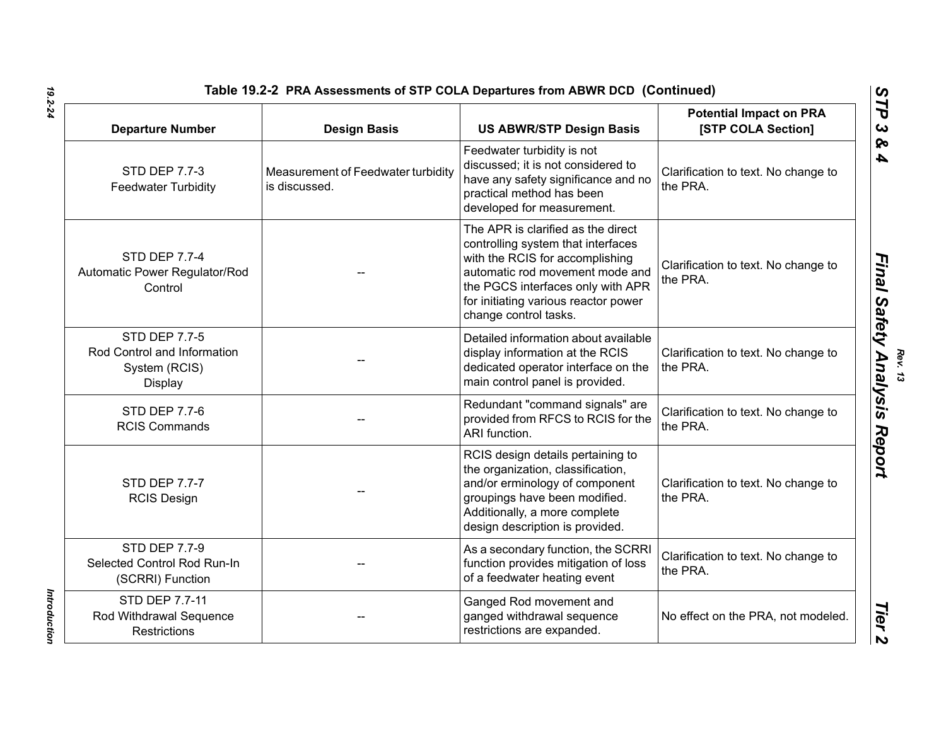| Table 19.2-2 PRA Assessments of STP COLA Departures from ABWR DCD (Continued)          |                                                     |                                                                                                                                                                                                                                                      |                                                      |
|----------------------------------------------------------------------------------------|-----------------------------------------------------|------------------------------------------------------------------------------------------------------------------------------------------------------------------------------------------------------------------------------------------------------|------------------------------------------------------|
| <b>Departure Number</b>                                                                | <b>Design Basis</b>                                 | <b>US ABWR/STP Design Basis</b>                                                                                                                                                                                                                      | <b>Potential Impact on PRA</b><br>[STP COLA Section] |
| <b>STD DEP 7.7-3</b><br><b>Feedwater Turbidity</b>                                     | Measurement of Feedwater turbidity<br>is discussed. | Feedwater turbidity is not<br>discussed; it is not considered to<br>have any safety significance and no<br>practical method has been<br>developed for measurement.                                                                                   | Clarification to text. No change to<br>the PRA.      |
| <b>STD DEP 7.7-4</b><br>Automatic Power Regulator/Rod<br>Control                       |                                                     | The APR is clarified as the direct<br>controlling system that interfaces<br>with the RCIS for accomplishing<br>automatic rod movement mode and<br>the PGCS interfaces only with APR<br>for initiating various reactor power<br>change control tasks. | Clarification to text. No change to<br>the PRA.      |
| <b>STD DEP 7.7-5</b><br>Rod Control and Information<br>System (RCIS)<br><b>Display</b> |                                                     | Detailed information about available<br>display information at the RCIS<br>dedicated operator interface on the<br>main control panel is provided.                                                                                                    | Clarification to text. No change to<br>the PRA.      |
| <b>STD DEP 7.7-6</b><br><b>RCIS Commands</b>                                           |                                                     | Redundant "command signals" are<br>provided from RFCS to RCIS for the<br>ARI function.                                                                                                                                                               | Clarification to text. No change to<br>the PRA.      |
| <b>STD DEP 7.7-7</b><br><b>RCIS Design</b>                                             |                                                     | RCIS design details pertaining to<br>the organization, classification,<br>and/or erminology of component<br>groupings have been modified.<br>Additionally, a more complete<br>design description is provided.                                        | Clarification to text. No change to<br>the PRA.      |
| <b>STD DEP 7.7-9</b><br>Selected Control Rod Run-In<br>(SCRRI) Function                |                                                     | As a secondary function, the SCRRI<br>function provides mitigation of loss<br>of a feedwater heating event                                                                                                                                           | Clarification to text. No change to<br>the PRA.      |
| STD DEP 7.7-11<br>Rod Withdrawal Sequence<br><b>Restrictions</b>                       |                                                     | Ganged Rod movement and<br>ganged withdrawal sequence<br>restrictions are expanded.                                                                                                                                                                  | No effect on the PRA, not modeled.                   |
|                                                                                        |                                                     |                                                                                                                                                                                                                                                      |                                                      |

Introduction *Introduction*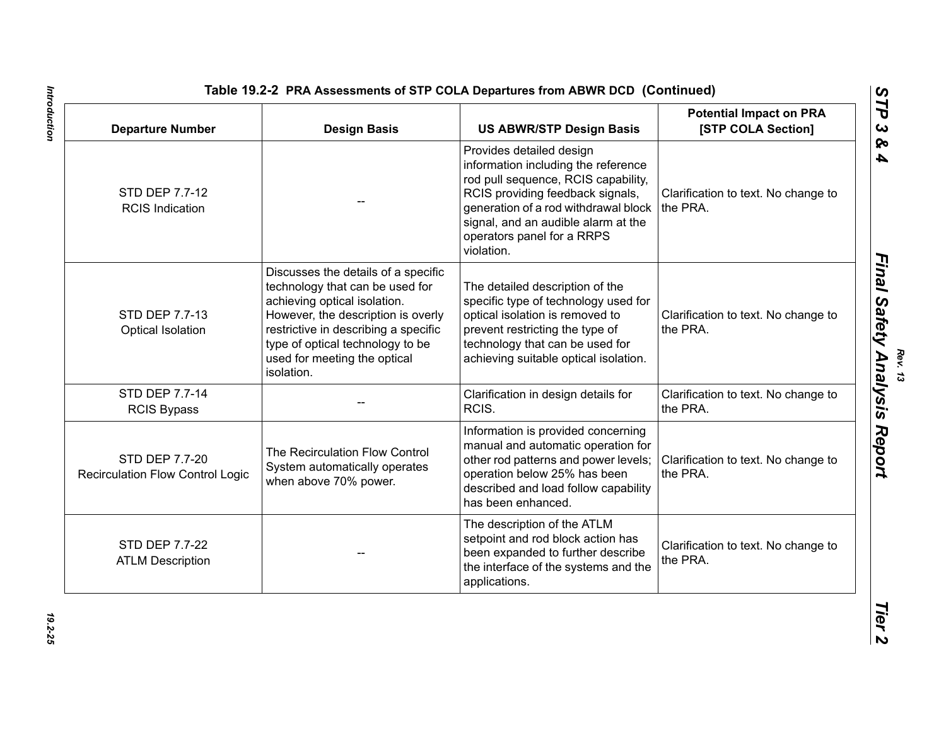| <b>Departure Number</b>                                          | <b>Design Basis</b>                                                                                                                                                                                                                                                    | <b>US ABWR/STP Design Basis</b>                                                                                                                                                                                                                                       | <b>Potential Impact on PRA</b><br>[STP COLA Section] |
|------------------------------------------------------------------|------------------------------------------------------------------------------------------------------------------------------------------------------------------------------------------------------------------------------------------------------------------------|-----------------------------------------------------------------------------------------------------------------------------------------------------------------------------------------------------------------------------------------------------------------------|------------------------------------------------------|
| STD DEP 7.7-12<br><b>RCIS Indication</b>                         |                                                                                                                                                                                                                                                                        | Provides detailed design<br>information including the reference<br>rod pull sequence, RCIS capability,<br>RCIS providing feedback signals,<br>generation of a rod withdrawal block<br>signal, and an audible alarm at the<br>operators panel for a RRPS<br>violation. | Clarification to text. No change to<br>the PRA.      |
| STD DEP 7.7-13<br>Optical Isolation                              | Discusses the details of a specific<br>technology that can be used for<br>achieving optical isolation.<br>However, the description is overly<br>restrictive in describing a specific<br>type of optical technology to be<br>used for meeting the optical<br>isolation. | The detailed description of the<br>specific type of technology used for<br>optical isolation is removed to<br>prevent restricting the type of<br>technology that can be used for<br>achieving suitable optical isolation.                                             | Clarification to text. No change to<br>the PRA.      |
| STD DEP 7.7-14<br><b>RCIS Bypass</b>                             |                                                                                                                                                                                                                                                                        | Clarification in design details for<br>RCIS.                                                                                                                                                                                                                          | Clarification to text. No change to<br>the PRA.      |
| <b>STD DEP 7.7-20</b><br><b>Recirculation Flow Control Logic</b> | The Recirculation Flow Control<br>System automatically operates<br>when above 70% power.                                                                                                                                                                               | Information is provided concerning<br>manual and automatic operation for<br>other rod patterns and power levels;<br>operation below 25% has been<br>described and load follow capability<br>has been enhanced.                                                        | Clarification to text. No change to<br>the PRA.      |
| STD DEP 7.7-22<br><b>ATLM Description</b>                        |                                                                                                                                                                                                                                                                        | The description of the ATLM<br>setpoint and rod block action has<br>been expanded to further describe<br>the interface of the systems and the<br>applications.                                                                                                        | Clarification to text. No change to<br>the PRA.      |

Introduction *Introduction 19.2-25*

19.2-25

*Rev. 13*<br>/ *Anal*u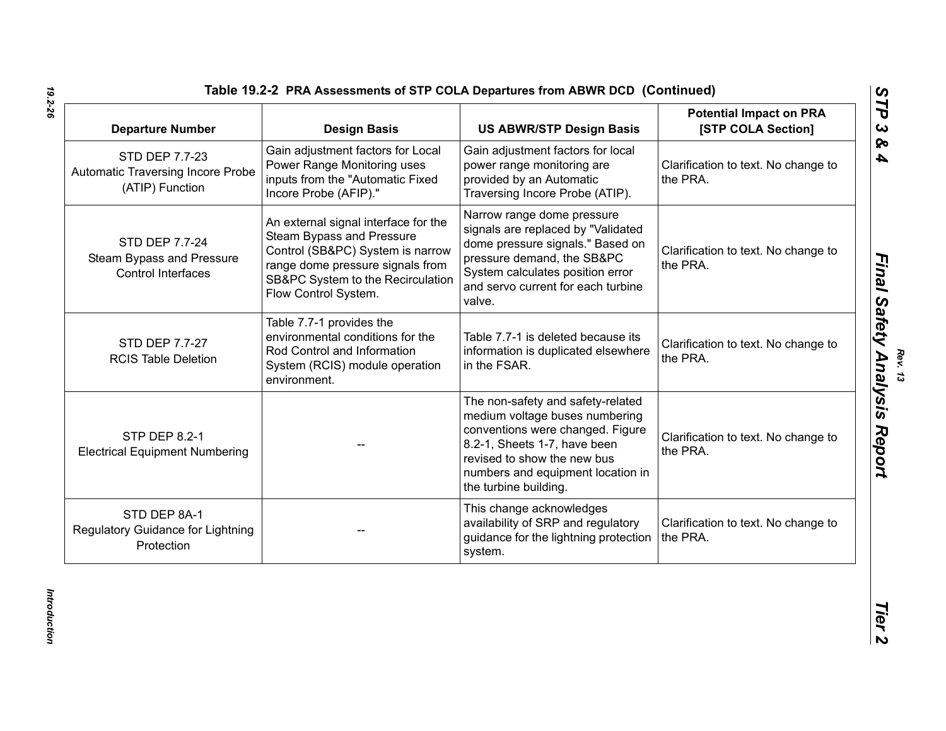| Table 19.2-2 PRA Assessments of STP COLA Departures from ABWR DCD (Continued) |  |
|-------------------------------------------------------------------------------|--|
|-------------------------------------------------------------------------------|--|

| <b>Departure Number</b>                                                | <b>Design Basis</b>                                                                                                                                                                                    | <b>US ABWR/STP Design Basis</b>                                                                                                                                                                                                      | <b>Potential Impact on PRA</b><br>[STP COLA Section] |
|------------------------------------------------------------------------|--------------------------------------------------------------------------------------------------------------------------------------------------------------------------------------------------------|--------------------------------------------------------------------------------------------------------------------------------------------------------------------------------------------------------------------------------------|------------------------------------------------------|
| STD DEP 7.7-23<br>Automatic Traversing Incore Probe<br>(ATIP) Function | Gain adjustment factors for Local<br>Power Range Monitoring uses<br>inputs from the "Automatic Fixed<br>Incore Probe (AFIP)."                                                                          | Gain adjustment factors for local<br>power range monitoring are<br>provided by an Automatic<br>Traversing Incore Probe (ATIP).                                                                                                       | Clarification to text. No change to<br>the PRA.      |
| STD DEP 7.7-24<br>Steam Bypass and Pressure<br>Control Interfaces      | An external signal interface for the<br>Steam Bypass and Pressure<br>Control (SB&PC) System is narrow<br>range dome pressure signals from<br>SB&PC System to the Recirculation<br>Flow Control System. | Narrow range dome pressure<br>signals are replaced by "Validated<br>dome pressure signals." Based on<br>pressure demand, the SB&PC<br>System calculates position error<br>and servo current for each turbine<br>valve.               | Clarification to text. No change to<br>the PRA.      |
| STD DEP 7.7-27<br><b>RCIS Table Deletion</b>                           | Table 7.7-1 provides the<br>environmental conditions for the<br>Rod Control and Information<br>System (RCIS) module operation<br>environment.                                                          | Table 7.7-1 is deleted because its<br>information is duplicated elsewhere<br>in the FSAR.                                                                                                                                            | Clarification to text. No change to<br>the PRA.      |
| <b>STP DEP 8.2-1</b><br><b>Electrical Equipment Numbering</b>          |                                                                                                                                                                                                        | The non-safety and safety-related<br>medium voltage buses numbering<br>conventions were changed. Figure<br>8.2-1, Sheets 1-7, have been<br>revised to show the new bus<br>numbers and equipment location in<br>the turbine building. | Clarification to text. No change to<br>the PRA.      |
| STD DEP 8A-1<br>Regulatory Guidance for Lightning<br>Protection        |                                                                                                                                                                                                        | This change acknowledges<br>availability of SRP and regulatory<br>guidance for the lightning protection<br>system.                                                                                                                   | Clarification to text. No change to<br>the PRA.      |

*Rev. 13*<br>**Final Safety Analysis Report**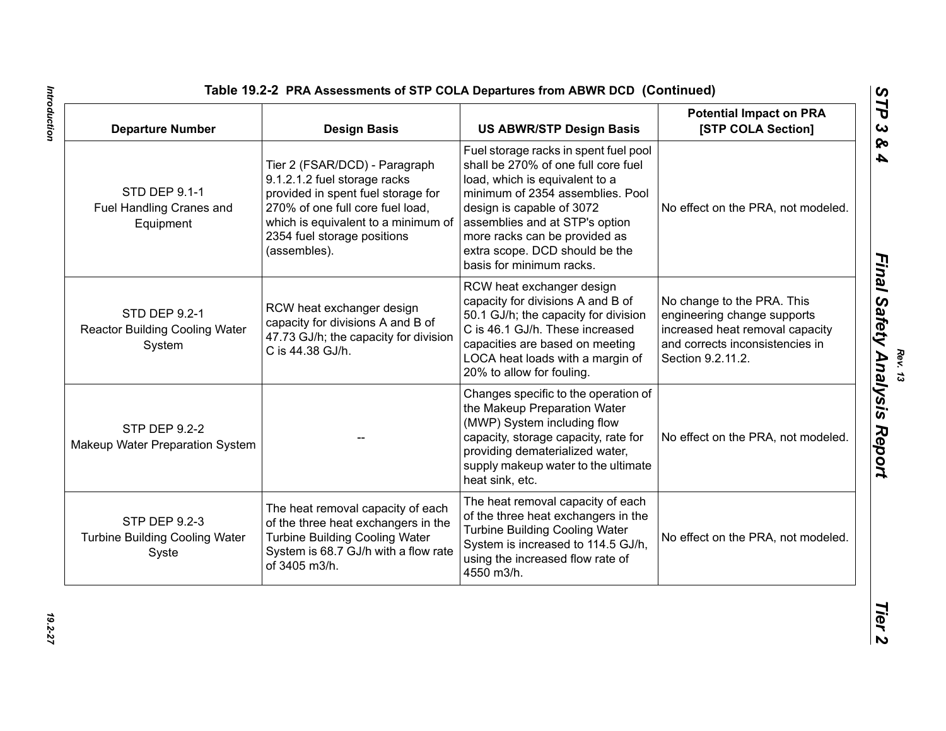| <b>Departure Number</b>                                                | <b>Design Basis</b>                                                                                                                                                                                                           | <b>US ABWR/STP Design Basis</b>                                                                                                                                                                                                                                                                                  | <b>Potential Impact on PRA</b><br>[STP COLA Section]                                                                                                 |
|------------------------------------------------------------------------|-------------------------------------------------------------------------------------------------------------------------------------------------------------------------------------------------------------------------------|------------------------------------------------------------------------------------------------------------------------------------------------------------------------------------------------------------------------------------------------------------------------------------------------------------------|------------------------------------------------------------------------------------------------------------------------------------------------------|
| <b>STD DEP 9.1-1</b><br>Fuel Handling Cranes and<br>Equipment          | Tier 2 (FSAR/DCD) - Paragraph<br>9.1.2.1.2 fuel storage racks<br>provided in spent fuel storage for<br>270% of one full core fuel load,<br>which is equivalent to a minimum of<br>2354 fuel storage positions<br>(assembles). | Fuel storage racks in spent fuel pool<br>shall be 270% of one full core fuel<br>load, which is equivalent to a<br>minimum of 2354 assemblies. Pool<br>design is capable of 3072<br>assemblies and at STP's option<br>more racks can be provided as<br>extra scope. DCD should be the<br>basis for minimum racks. | No effect on the PRA, not modeled.                                                                                                                   |
| STD DEP 9.2-1<br><b>Reactor Building Cooling Water</b><br>System       | RCW heat exchanger design<br>capacity for divisions A and B of<br>47.73 GJ/h; the capacity for division<br>C is 44.38 GJ/h.                                                                                                   | RCW heat exchanger design<br>capacity for divisions A and B of<br>50.1 GJ/h; the capacity for division<br>C is 46.1 GJ/h. These increased<br>capacities are based on meeting<br>LOCA heat loads with a margin of<br>20% to allow for fouling.                                                                    | No change to the PRA. This<br>engineering change supports<br>increased heat removal capacity<br>and corrects inconsistencies in<br>Section 9.2.11.2. |
| <b>STP DEP 9.2-2</b><br>Makeup Water Preparation System                |                                                                                                                                                                                                                               | Changes specific to the operation of<br>the Makeup Preparation Water<br>(MWP) System including flow<br>capacity, storage capacity, rate for<br>providing dematerialized water,<br>supply makeup water to the ultimate<br>heat sink, etc.                                                                         | No effect on the PRA, not modeled.                                                                                                                   |
| <b>STP DEP 9.2-3</b><br><b>Turbine Building Cooling Water</b><br>Syste | The heat removal capacity of each<br>of the three heat exchangers in the<br><b>Turbine Building Cooling Water</b><br>System is 68.7 GJ/h with a flow rate<br>of 3405 m3/h.                                                    | The heat removal capacity of each<br>of the three heat exchangers in the<br><b>Turbine Building Cooling Water</b><br>System is increased to 114.5 GJ/h,<br>using the increased flow rate of<br>4550 m3/h.                                                                                                        | No effect on the PRA, not modeled.                                                                                                                   |

*Rev. 13*<br>**Final Safety Analysis Report**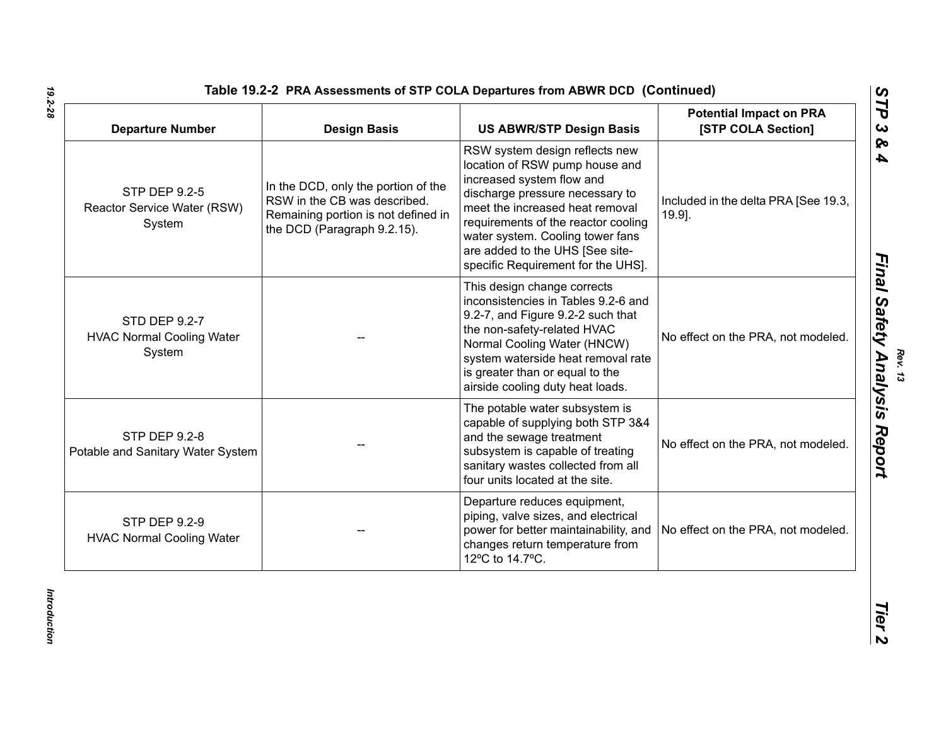| <b>Departure Number</b>                                       | <b>Design Basis</b>                                                                                                                       | <b>US ABWR/STP Design Basis</b>                                                                                                                                                                                                                                                                                         | <b>Potential Impact on PRA</b><br>[STP COLA Section] |
|---------------------------------------------------------------|-------------------------------------------------------------------------------------------------------------------------------------------|-------------------------------------------------------------------------------------------------------------------------------------------------------------------------------------------------------------------------------------------------------------------------------------------------------------------------|------------------------------------------------------|
| <b>STP DEP 9.2-5</b><br>Reactor Service Water (RSW)<br>System | In the DCD, only the portion of the<br>RSW in the CB was described.<br>Remaining portion is not defined in<br>the DCD (Paragraph 9.2.15). | RSW system design reflects new<br>location of RSW pump house and<br>increased system flow and<br>discharge pressure necessary to<br>meet the increased heat removal<br>requirements of the reactor cooling<br>water system. Cooling tower fans<br>are added to the UHS [See site-<br>specific Requirement for the UHS]. | Included in the delta PRA [See 19.3,<br>19.9].       |
| STD DEP 9.2-7<br><b>HVAC Normal Cooling Water</b><br>System   |                                                                                                                                           | This design change corrects<br>inconsistencies in Tables 9.2-6 and<br>9.2-7, and Figure 9.2-2 such that<br>the non-safety-related HVAC<br>Normal Cooling Water (HNCW)<br>system waterside heat removal rate<br>is greater than or equal to the<br>airside cooling duty heat loads.                                      | No effect on the PRA, not modeled.                   |
| <b>STP DEP 9.2-8</b><br>Potable and Sanitary Water System     |                                                                                                                                           | The potable water subsystem is<br>capable of supplying both STP 3&4<br>and the sewage treatment<br>subsystem is capable of treating<br>sanitary wastes collected from all<br>four units located at the site.                                                                                                            | No effect on the PRA, not modeled.                   |
| <b>STP DEP 9.2-9</b><br><b>HVAC Normal Cooling Water</b>      |                                                                                                                                           | Departure reduces equipment,<br>piping, valve sizes, and electrical<br>power for better maintainability, and<br>changes return temperature from<br>12°C to 14.7°C.                                                                                                                                                      | No effect on the PRA, not modeled.                   |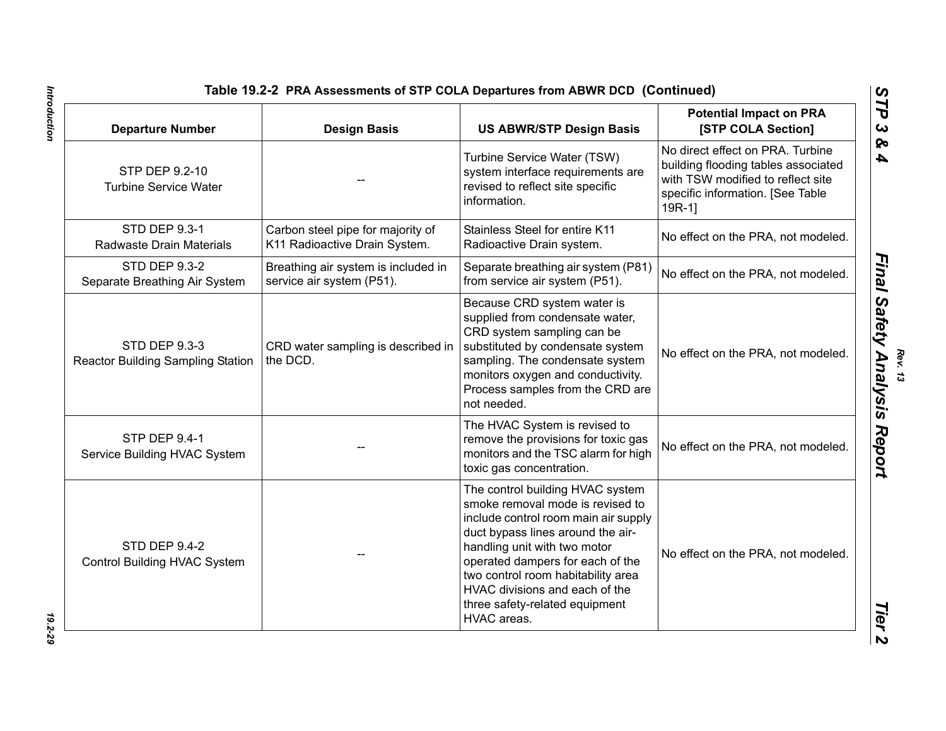| <b>Departure Number</b>                                          | <b>Design Basis</b>                                                | <b>US ABWR/STP Design Basis</b>                                                                                                                                                                                                                                                                                                                | <b>Potential Impact on PRA</b><br>[STP COLA Section]                                                                                                        |
|------------------------------------------------------------------|--------------------------------------------------------------------|------------------------------------------------------------------------------------------------------------------------------------------------------------------------------------------------------------------------------------------------------------------------------------------------------------------------------------------------|-------------------------------------------------------------------------------------------------------------------------------------------------------------|
| STP DEP 9.2-10<br><b>Turbine Service Water</b>                   |                                                                    | Turbine Service Water (TSW)<br>system interface requirements are<br>revised to reflect site specific<br>information.                                                                                                                                                                                                                           | No direct effect on PRA. Turbine<br>building flooding tables associated<br>with TSW modified to reflect site<br>specific information. [See Table<br>$19R-1$ |
| <b>STD DEP 9.3-1</b><br>Radwaste Drain Materials                 | Carbon steel pipe for majority of<br>K11 Radioactive Drain System. | Stainless Steel for entire K11<br>Radioactive Drain system.                                                                                                                                                                                                                                                                                    | No effect on the PRA, not modeled.                                                                                                                          |
| <b>STD DEP 9.3-2</b><br>Separate Breathing Air System            | Breathing air system is included in<br>service air system (P51).   | Separate breathing air system (P81)<br>from service air system (P51).                                                                                                                                                                                                                                                                          | No effect on the PRA, not modeled.                                                                                                                          |
| <b>STD DEP 9.3-3</b><br><b>Reactor Building Sampling Station</b> | CRD water sampling is described in<br>the DCD.                     | Because CRD system water is<br>supplied from condensate water,<br>CRD system sampling can be<br>substituted by condensate system<br>sampling. The condensate system<br>monitors oxygen and conductivity.<br>Process samples from the CRD are<br>not needed.                                                                                    | No effect on the PRA, not modeled.                                                                                                                          |
| <b>STP DEP 9.4-1</b><br>Service Building HVAC System             |                                                                    | The HVAC System is revised to<br>remove the provisions for toxic gas<br>monitors and the TSC alarm for high<br>toxic gas concentration.                                                                                                                                                                                                        | No effect on the PRA, not modeled.                                                                                                                          |
| STD DEP 9.4-2<br>Control Building HVAC System                    |                                                                    | The control building HVAC system<br>smoke removal mode is revised to<br>include control room main air supply<br>duct bypass lines around the air-<br>handling unit with two motor<br>operated dampers for each of the<br>two control room habitability area<br>HVAC divisions and each of the<br>three safety-related equipment<br>HVAC areas. | No effect on the PRA, not modeled.                                                                                                                          |

Introduction *Introduction 19.2-29*

19.2-29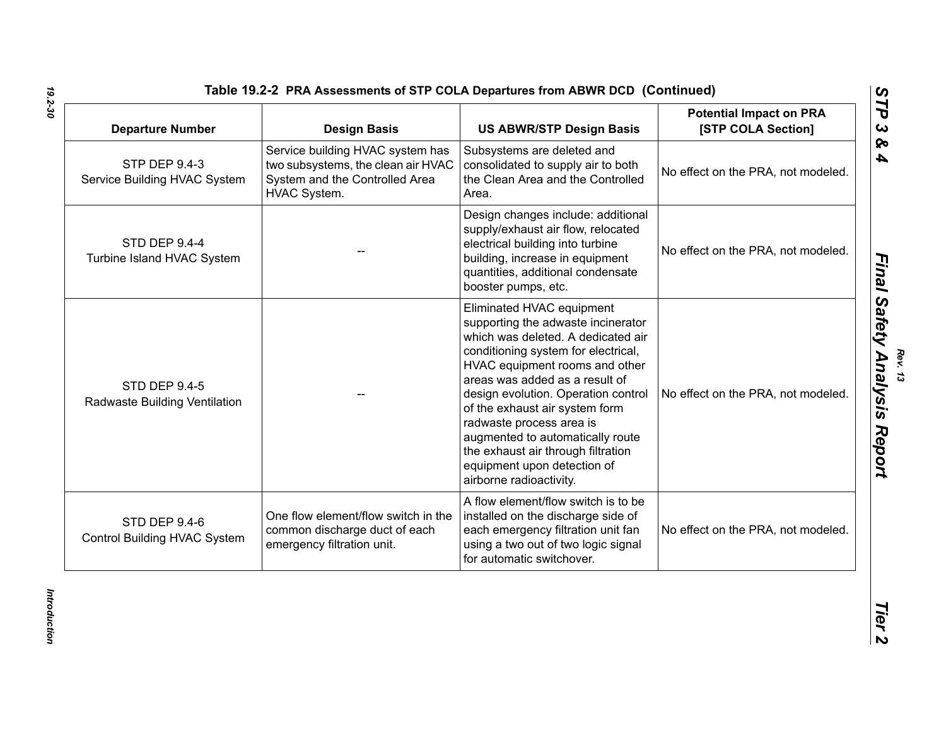| <b>Departure Number</b>                               | <b>Design Basis</b>                                                                                                      | <b>US ABWR/STP Design Basis</b>                                                                                                                                                                                                                                                                                                                                                                                                                           | <b>Potential Impact on PRA</b><br>[STP COLA Section] |
|-------------------------------------------------------|--------------------------------------------------------------------------------------------------------------------------|-----------------------------------------------------------------------------------------------------------------------------------------------------------------------------------------------------------------------------------------------------------------------------------------------------------------------------------------------------------------------------------------------------------------------------------------------------------|------------------------------------------------------|
| <b>STP DEP 9.4-3</b><br>Service Building HVAC System  | Service building HVAC system has<br>two subsystems, the clean air HVAC<br>System and the Controlled Area<br>HVAC System. | Subsystems are deleted and<br>consolidated to supply air to both<br>the Clean Area and the Controlled<br>Area.                                                                                                                                                                                                                                                                                                                                            | No effect on the PRA, not modeled.                   |
| <b>STD DEP 9.4-4</b><br>Turbine Island HVAC System    |                                                                                                                          | Design changes include: additional<br>supply/exhaust air flow, relocated<br>electrical building into turbine<br>building, increase in equipment<br>quantities, additional condensate<br>booster pumps, etc.                                                                                                                                                                                                                                               | No effect on the PRA, not modeled.                   |
| <b>STD DEP 9.4-5</b><br>Radwaste Building Ventilation |                                                                                                                          | Eliminated HVAC equipment<br>supporting the adwaste incinerator<br>which was deleted. A dedicated air<br>conditioning system for electrical,<br>HVAC equipment rooms and other<br>areas was added as a result of<br>design evolution. Operation control<br>of the exhaust air system form<br>radwaste process area is<br>augmented to automatically route<br>the exhaust air through filtration<br>equipment upon detection of<br>airborne radioactivity. | No effect on the PRA, not modeled.                   |
| STD DEP 9.4-6<br>Control Building HVAC System         | One flow element/flow switch in the<br>common discharge duct of each<br>emergency filtration unit.                       | A flow element/flow switch is to be<br>installed on the discharge side of<br>each emergency filtration unit fan<br>using a two out of two logic signal<br>for automatic switchover.                                                                                                                                                                                                                                                                       | No effect on the PRA, not modeled.                   |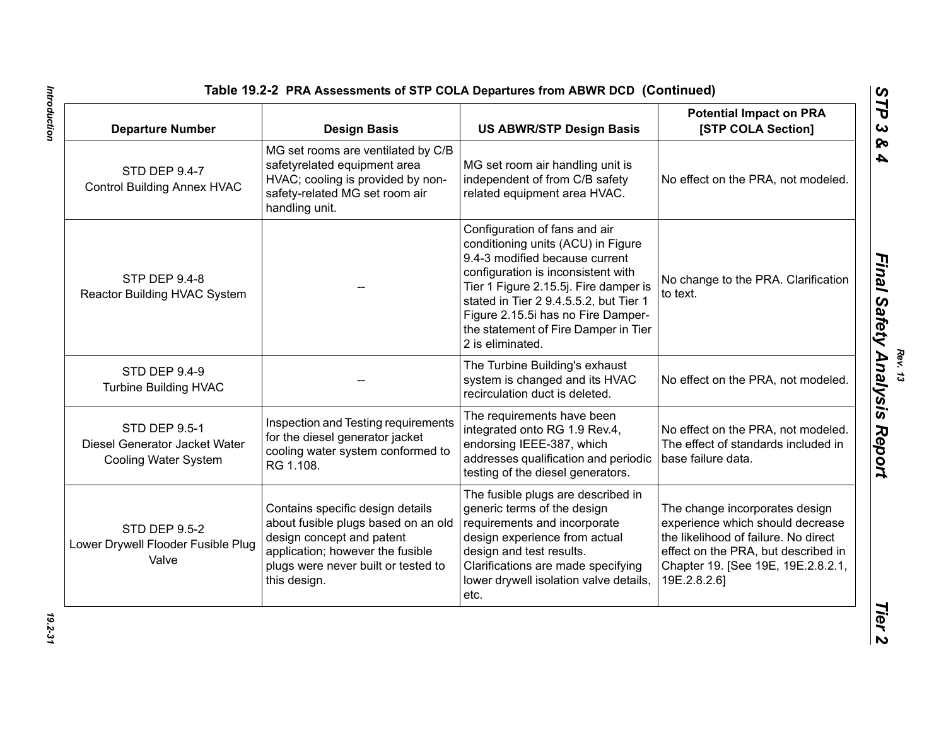| <b>Departure Number</b>                                                       | <b>Design Basis</b>                                                                                                                                                                             | <b>US ABWR/STP Design Basis</b>                                                                                                                                                                                                                                                                                                  | <b>Potential Impact on PRA</b><br>[STP COLA Section]                                                                                                                                                    |
|-------------------------------------------------------------------------------|-------------------------------------------------------------------------------------------------------------------------------------------------------------------------------------------------|----------------------------------------------------------------------------------------------------------------------------------------------------------------------------------------------------------------------------------------------------------------------------------------------------------------------------------|---------------------------------------------------------------------------------------------------------------------------------------------------------------------------------------------------------|
| <b>STD DEP 9.4-7</b><br><b>Control Building Annex HVAC</b>                    | MG set rooms are ventilated by C/B<br>safetyrelated equipment area<br>HVAC; cooling is provided by non-<br>safety-related MG set room air<br>handling unit.                                     | MG set room air handling unit is<br>independent of from C/B safety<br>related equipment area HVAC.                                                                                                                                                                                                                               | No effect on the PRA, not modeled.                                                                                                                                                                      |
| <b>STP DEP 9.4-8</b><br>Reactor Building HVAC System                          |                                                                                                                                                                                                 | Configuration of fans and air<br>conditioning units (ACU) in Figure<br>9.4-3 modified because current<br>configuration is inconsistent with<br>Tier 1 Figure 2.15.5j. Fire damper is<br>stated in Tier 2 9.4.5.5.2, but Tier 1<br>Figure 2.15.5i has no Fire Damper-<br>the statement of Fire Damper in Tier<br>2 is eliminated. | No change to the PRA. Clarification<br>to text.                                                                                                                                                         |
| <b>STD DEP 9.4-9</b><br><b>Turbine Building HVAC</b>                          |                                                                                                                                                                                                 | The Turbine Building's exhaust<br>system is changed and its HVAC<br>recirculation duct is deleted.                                                                                                                                                                                                                               | No effect on the PRA, not modeled.                                                                                                                                                                      |
| <b>STD DEP 9.5-1</b><br>Diesel Generator Jacket Water<br>Cooling Water System | Inspection and Testing requirements<br>for the diesel generator jacket<br>cooling water system conformed to<br>RG 1.108.                                                                        | The requirements have been<br>integrated onto RG 1.9 Rev.4,<br>endorsing IEEE-387, which<br>addresses qualification and periodic<br>testing of the diesel generators.                                                                                                                                                            | No effect on the PRA, not modeled.<br>The effect of standards included in<br>base failure data.                                                                                                         |
| <b>STD DEP 9.5-2</b><br>Lower Drywell Flooder Fusible Plug<br>Valve           | Contains specific design details<br>about fusible plugs based on an old<br>design concept and patent<br>application; however the fusible<br>plugs were never built or tested to<br>this design. | The fusible plugs are described in<br>generic terms of the design<br>requirements and incorporate<br>design experience from actual<br>design and test results.<br>Clarifications are made specifying<br>lower drywell isolation valve details,<br>etc.                                                                           | The change incorporates design<br>experience which should decrease<br>the likelihood of failure. No direct<br>effect on the PRA, but described in<br>Chapter 19. [See 19E, 19E.2.8.2.1,<br>19E.2.8.2.6] |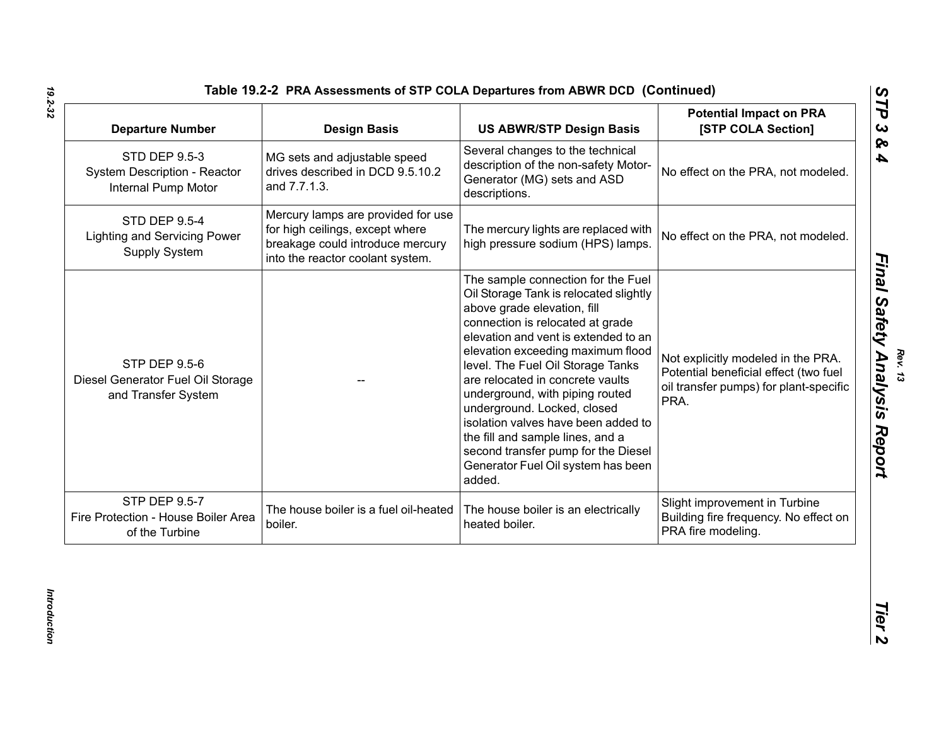| <b>Departure Number</b>                                                            | <b>Design Basis</b>                                                                                                                           | <b>US ABWR/STP Design Basis</b>                                                                                                                                                                                                                                                                                                                                                                                                                                                                                                           | <b>Potential Impact on PRA</b><br>[STP COLA Section]                                                                          |
|------------------------------------------------------------------------------------|-----------------------------------------------------------------------------------------------------------------------------------------------|-------------------------------------------------------------------------------------------------------------------------------------------------------------------------------------------------------------------------------------------------------------------------------------------------------------------------------------------------------------------------------------------------------------------------------------------------------------------------------------------------------------------------------------------|-------------------------------------------------------------------------------------------------------------------------------|
| <b>STD DEP 9.5-3</b><br>System Description - Reactor<br><b>Internal Pump Motor</b> | MG sets and adjustable speed<br>drives described in DCD 9.5.10.2<br>and 7.7.1.3.                                                              | Several changes to the technical<br>description of the non-safety Motor-<br>Generator (MG) sets and ASD<br>descriptions.                                                                                                                                                                                                                                                                                                                                                                                                                  | No effect on the PRA, not modeled.                                                                                            |
| <b>STD DEP 9.5-4</b><br><b>Lighting and Servicing Power</b><br>Supply System       | Mercury lamps are provided for use<br>for high ceilings, except where<br>breakage could introduce mercury<br>into the reactor coolant system. | The mercury lights are replaced with<br>high pressure sodium (HPS) lamps.                                                                                                                                                                                                                                                                                                                                                                                                                                                                 | No effect on the PRA, not modeled.                                                                                            |
| <b>STP DEP 9.5-6</b><br>Diesel Generator Fuel Oil Storage<br>and Transfer System   |                                                                                                                                               | The sample connection for the Fuel<br>Oil Storage Tank is relocated slightly<br>above grade elevation, fill<br>connection is relocated at grade<br>elevation and vent is extended to an<br>elevation exceeding maximum flood<br>level. The Fuel Oil Storage Tanks<br>are relocated in concrete vaults<br>underground, with piping routed<br>underground. Locked, closed<br>isolation valves have been added to<br>the fill and sample lines, and a<br>second transfer pump for the Diesel<br>Generator Fuel Oil system has been<br>added. | Not explicitly modeled in the PRA.<br>Potential beneficial effect (two fuel<br>oil transfer pumps) for plant-specific<br>PRA. |
| <b>STP DEP 9.5-7</b><br>Fire Protection - House Boiler Area<br>of the Turbine      | The house boiler is a fuel oil-heated<br>boiler.                                                                                              | The house boiler is an electrically<br>heated boiler.                                                                                                                                                                                                                                                                                                                                                                                                                                                                                     | Slight improvement in Turbine<br>Building fire frequency. No effect on<br>PRA fire modeling.                                  |

*Rev. 13*<br>**Final Safety Analysis Report**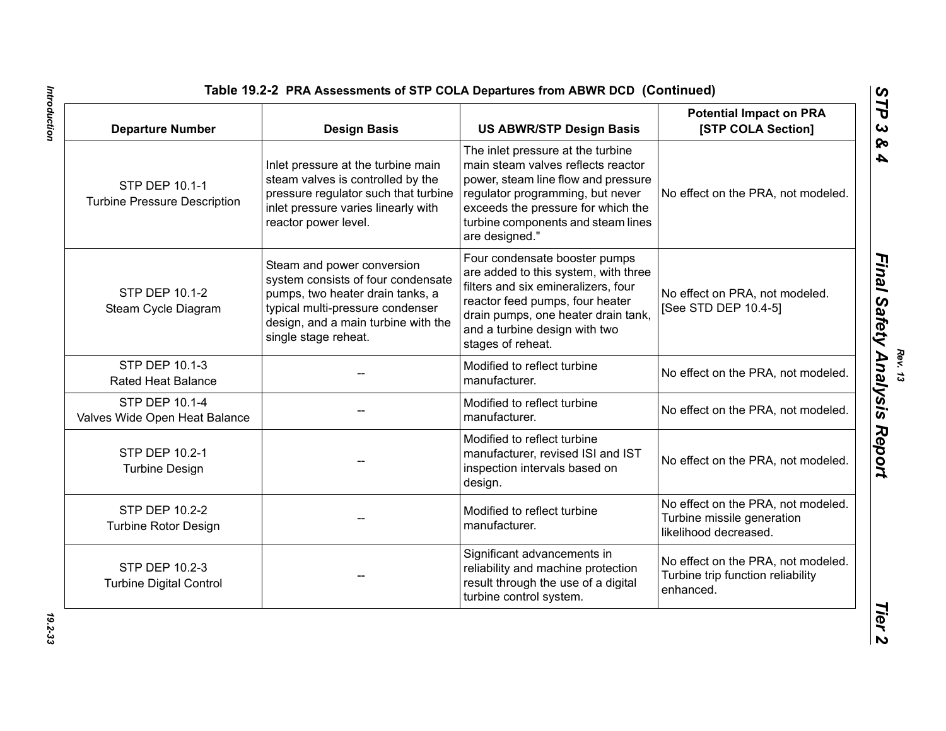| <b>Departure Number</b>                                      | <b>Design Basis</b>                                                                                                                                                                                     | <b>US ABWR/STP Design Basis</b>                                                                                                                                                                                                                  | <b>Potential Impact on PRA</b><br>[STP COLA Section]                                      |
|--------------------------------------------------------------|---------------------------------------------------------------------------------------------------------------------------------------------------------------------------------------------------------|--------------------------------------------------------------------------------------------------------------------------------------------------------------------------------------------------------------------------------------------------|-------------------------------------------------------------------------------------------|
| <b>STP DEP 10.1-1</b><br><b>Turbine Pressure Description</b> | Inlet pressure at the turbine main<br>steam valves is controlled by the<br>pressure regulator such that turbine<br>inlet pressure varies linearly with<br>reactor power level.                          | The inlet pressure at the turbine<br>main steam valves reflects reactor<br>power, steam line flow and pressure<br>regulator programming, but never<br>exceeds the pressure for which the<br>turbine components and steam lines<br>are designed." | No effect on the PRA, not modeled.                                                        |
| <b>STP DEP 10.1-2</b><br>Steam Cycle Diagram                 | Steam and power conversion<br>system consists of four condensate<br>pumps, two heater drain tanks, a<br>typical multi-pressure condenser<br>design, and a main turbine with the<br>single stage reheat. | Four condensate booster pumps<br>are added to this system, with three<br>filters and six emineralizers, four<br>reactor feed pumps, four heater<br>drain pumps, one heater drain tank,<br>and a turbine design with two<br>stages of reheat.     | No effect on PRA, not modeled.<br>[See STD DEP 10.4-5]                                    |
| STP DEP 10.1-3<br><b>Rated Heat Balance</b>                  |                                                                                                                                                                                                         | Modified to reflect turbine<br>manufacturer.                                                                                                                                                                                                     | No effect on the PRA, not modeled.                                                        |
| <b>STP DEP 10.1-4</b><br>Valves Wide Open Heat Balance       |                                                                                                                                                                                                         | Modified to reflect turbine<br>manufacturer.                                                                                                                                                                                                     | No effect on the PRA, not modeled.                                                        |
| STP DEP 10.2-1<br><b>Turbine Design</b>                      |                                                                                                                                                                                                         | Modified to reflect turbine<br>manufacturer, revised ISI and IST<br>inspection intervals based on<br>design.                                                                                                                                     | No effect on the PRA, not modeled.                                                        |
| <b>STP DEP 10.2-2</b><br><b>Turbine Rotor Design</b>         |                                                                                                                                                                                                         | Modified to reflect turbine<br>manufacturer.                                                                                                                                                                                                     | No effect on the PRA, not modeled.<br>Turbine missile generation<br>likelihood decreased. |
| STP DEP 10.2-3<br><b>Turbine Digital Control</b>             |                                                                                                                                                                                                         | Significant advancements in<br>reliability and machine protection<br>result through the use of a digital<br>turbine control system.                                                                                                              | No effect on the PRA, not modeled.<br>Turbine trip function reliability<br>enhanced.      |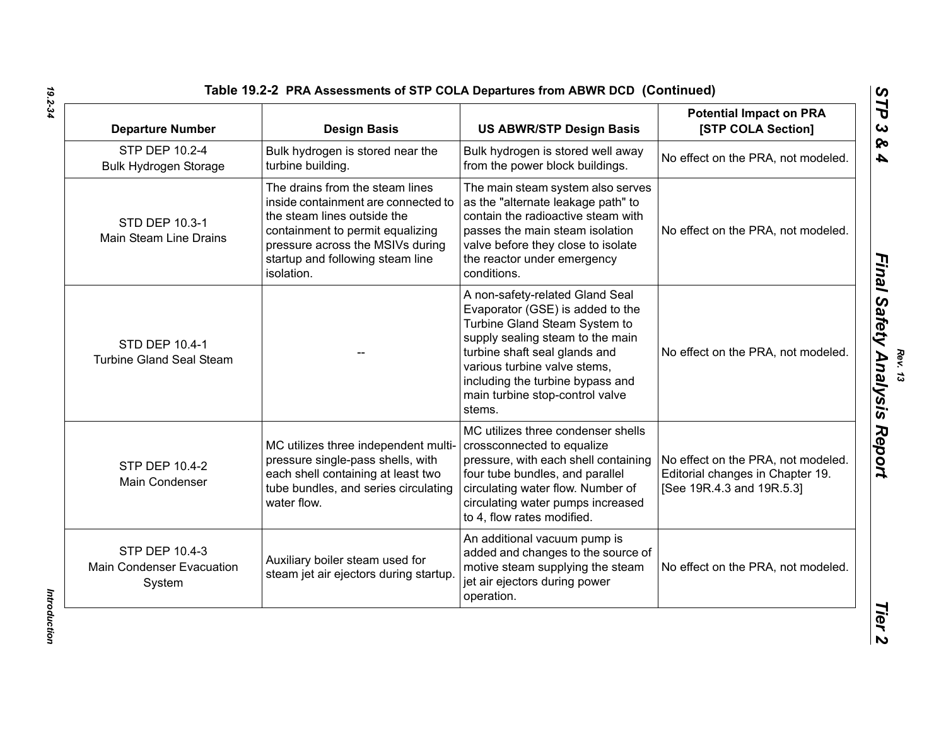| Table 19.2-2 PRA Assessments of STP COLA Departures from ABWR DCD (Continued |  |
|------------------------------------------------------------------------------|--|
|------------------------------------------------------------------------------|--|

| <b>Departure Number</b>                                      | <b>Design Basis</b>                                                                                                                                                                                                             | <b>US ABWR/STP Design Basis</b>                                                                                                                                                                                                                                                            | <b>Potential Impact on PRA</b><br>[STP COLA Section]                                                |
|--------------------------------------------------------------|---------------------------------------------------------------------------------------------------------------------------------------------------------------------------------------------------------------------------------|--------------------------------------------------------------------------------------------------------------------------------------------------------------------------------------------------------------------------------------------------------------------------------------------|-----------------------------------------------------------------------------------------------------|
| STP DEP 10.2-4<br><b>Bulk Hydrogen Storage</b>               | Bulk hydrogen is stored near the<br>turbine building.                                                                                                                                                                           | Bulk hydrogen is stored well away<br>from the power block buildings.                                                                                                                                                                                                                       | No effect on the PRA, not modeled.                                                                  |
| STD DEP 10.3-1<br>Main Steam Line Drains                     | The drains from the steam lines<br>inside containment are connected to<br>the steam lines outside the<br>containment to permit equalizing<br>pressure across the MSIVs during<br>startup and following steam line<br>isolation. | The main steam system also serves<br>as the "alternate leakage path" to<br>contain the radioactive steam with<br>passes the main steam isolation<br>valve before they close to isolate<br>the reactor under emergency<br>conditions.                                                       | No effect on the PRA, not modeled.                                                                  |
| STD DEP 10.4-1<br><b>Turbine Gland Seal Steam</b>            |                                                                                                                                                                                                                                 | A non-safety-related Gland Seal<br>Evaporator (GSE) is added to the<br>Turbine Gland Steam System to<br>supply sealing steam to the main<br>turbine shaft seal glands and<br>various turbine valve stems,<br>including the turbine bypass and<br>main turbine stop-control valve<br>stems. | No effect on the PRA, not modeled.                                                                  |
| <b>STP DEP 10.4-2</b><br>Main Condenser                      | MC utilizes three independent multi-<br>pressure single-pass shells, with<br>each shell containing at least two<br>tube bundles, and series circulating<br>water flow.                                                          | MC utilizes three condenser shells<br>crossconnected to equalize<br>pressure, with each shell containing<br>four tube bundles, and parallel<br>circulating water flow. Number of<br>circulating water pumps increased<br>to 4, flow rates modified.                                        | No effect on the PRA, not modeled.<br>Editorial changes in Chapter 19.<br>[See 19R.4.3 and 19R.5.3] |
| STP DEP 10.4-3<br><b>Main Condenser Evacuation</b><br>System | Auxiliary boiler steam used for<br>steam jet air ejectors during startup                                                                                                                                                        | An additional vacuum pump is<br>added and changes to the source of<br>motive steam supplying the steam<br>jet air ejectors during power<br>operation.                                                                                                                                      | No effect on the PRA, not modeled.                                                                  |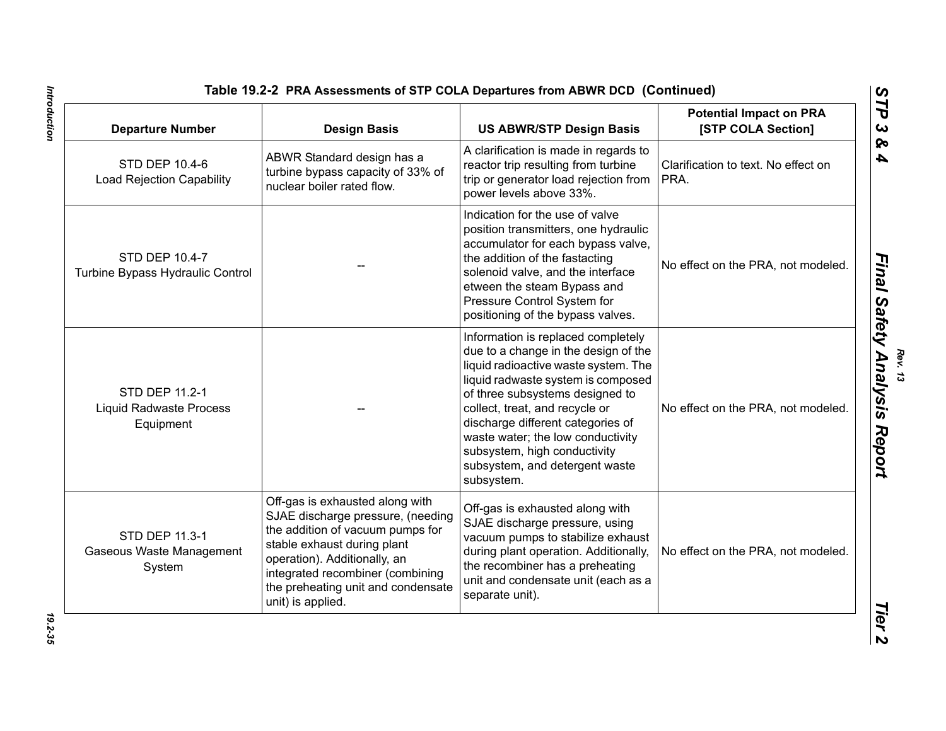| <b>Departure Number</b>                                       | <b>Design Basis</b>                                                                                                                                                                                                                                                    | <b>US ABWR/STP Design Basis</b>                                                                                                                                                                                                                                                                                                                                                         | <b>Potential Impact on PRA</b><br>[STP COLA Section] |
|---------------------------------------------------------------|------------------------------------------------------------------------------------------------------------------------------------------------------------------------------------------------------------------------------------------------------------------------|-----------------------------------------------------------------------------------------------------------------------------------------------------------------------------------------------------------------------------------------------------------------------------------------------------------------------------------------------------------------------------------------|------------------------------------------------------|
| STD DEP 10.4-6<br><b>Load Rejection Capability</b>            | ABWR Standard design has a<br>turbine bypass capacity of 33% of<br>nuclear boiler rated flow.                                                                                                                                                                          | A clarification is made in regards to<br>reactor trip resulting from turbine<br>trip or generator load rejection from<br>power levels above 33%.                                                                                                                                                                                                                                        | Clarification to text. No effect on<br>PRA.          |
| STD DEP 10.4-7<br>Turbine Bypass Hydraulic Control            |                                                                                                                                                                                                                                                                        | Indication for the use of valve<br>position transmitters, one hydraulic<br>accumulator for each bypass valve,<br>the addition of the fastacting<br>solenoid valve, and the interface<br>etween the steam Bypass and<br>Pressure Control System for<br>positioning of the bypass valves.                                                                                                 | No effect on the PRA, not modeled.                   |
| STD DEP 11.2-1<br><b>Liquid Radwaste Process</b><br>Equipment |                                                                                                                                                                                                                                                                        | Information is replaced completely<br>due to a change in the design of the<br>liquid radioactive waste system. The<br>liquid radwaste system is composed<br>of three subsystems designed to<br>collect, treat, and recycle or<br>discharge different categories of<br>waste water; the low conductivity<br>subsystem, high conductivity<br>subsystem, and detergent waste<br>subsystem. | No effect on the PRA, not modeled.                   |
| STD DEP 11.3-1<br>Gaseous Waste Management<br>System          | Off-gas is exhausted along with<br>SJAE discharge pressure, (needing<br>the addition of vacuum pumps for<br>stable exhaust during plant<br>operation). Additionally, an<br>integrated recombiner (combining<br>the preheating unit and condensate<br>unit) is applied. | Off-gas is exhausted along with<br>SJAE discharge pressure, using<br>vacuum pumps to stabilize exhaust<br>during plant operation. Additionally,<br>the recombiner has a preheating<br>unit and condensate unit (each as a<br>separate unit).                                                                                                                                            | No effect on the PRA, not modeled.                   |

Introduction *Introduction 19.2-35*

19.2-35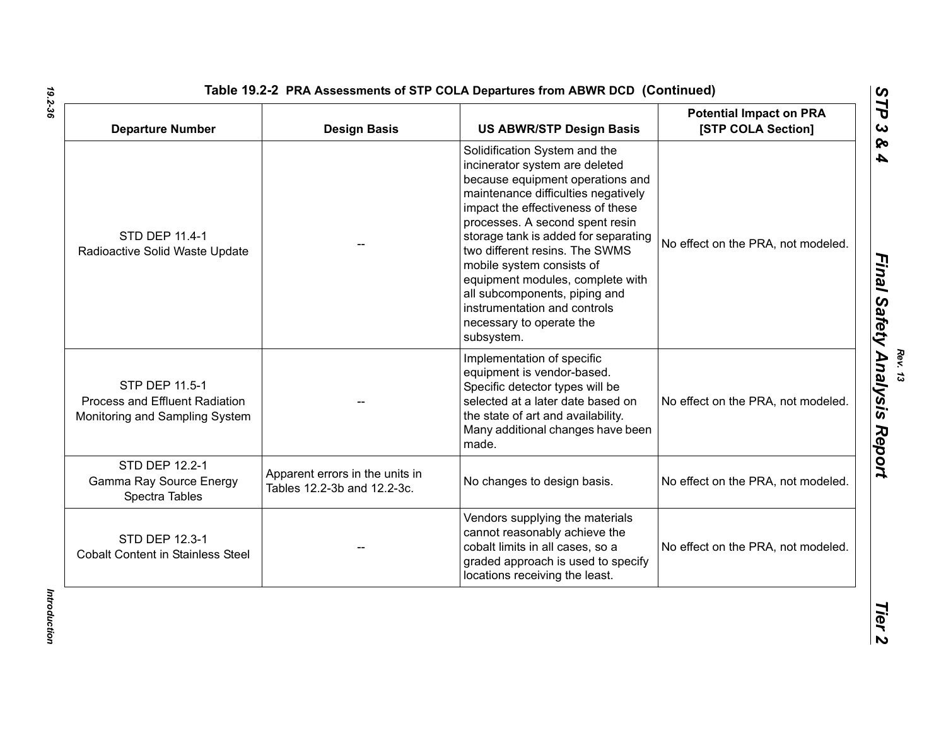| <b>Departure Number</b>                                                            | <b>Design Basis</b>                                            | <b>US ABWR/STP Design Basis</b>                                                                                                                                                                                                                                                                                                                                                                                                                                          | <b>Potential Impact on PRA</b><br>[STP COLA Section] |
|------------------------------------------------------------------------------------|----------------------------------------------------------------|--------------------------------------------------------------------------------------------------------------------------------------------------------------------------------------------------------------------------------------------------------------------------------------------------------------------------------------------------------------------------------------------------------------------------------------------------------------------------|------------------------------------------------------|
| STD DEP 11.4-1<br>Radioactive Solid Waste Update                                   |                                                                | Solidification System and the<br>incinerator system are deleted<br>because equipment operations and<br>maintenance difficulties negatively<br>impact the effectiveness of these<br>processes. A second spent resin<br>storage tank is added for separating<br>two different resins. The SWMS<br>mobile system consists of<br>equipment modules, complete with<br>all subcomponents, piping and<br>instrumentation and controls<br>necessary to operate the<br>subsystem. | No effect on the PRA, not modeled.                   |
| STP DEP 11.5-1<br>Process and Effluent Radiation<br>Monitoring and Sampling System |                                                                | Implementation of specific<br>equipment is vendor-based.<br>Specific detector types will be<br>selected at a later date based on<br>the state of art and availability.<br>Many additional changes have been<br>made.                                                                                                                                                                                                                                                     | No effect on the PRA, not modeled.                   |
| STD DEP 12.2-1<br>Gamma Ray Source Energy<br>Spectra Tables                        | Apparent errors in the units in<br>Tables 12.2-3b and 12.2-3c. | No changes to design basis.                                                                                                                                                                                                                                                                                                                                                                                                                                              | No effect on the PRA, not modeled.                   |
| STD DEP 12.3-1<br><b>Cobalt Content in Stainless Steel</b>                         |                                                                | Vendors supplying the materials<br>cannot reasonably achieve the<br>cobalt limits in all cases, so a<br>graded approach is used to specify<br>locations receiving the least.                                                                                                                                                                                                                                                                                             | No effect on the PRA, not modeled.                   |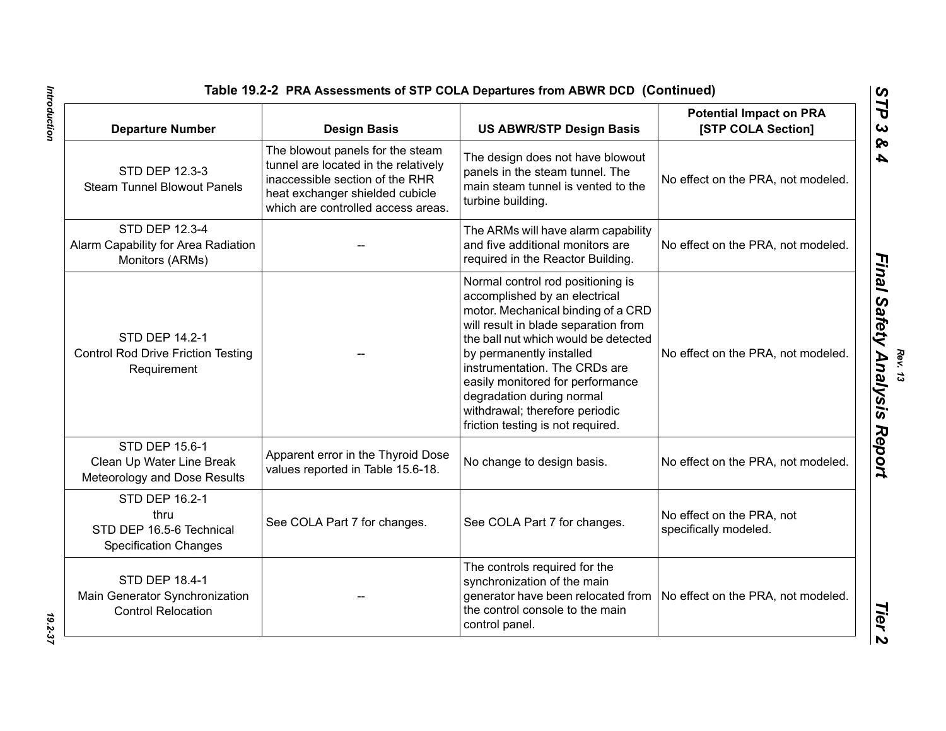| <b>Departure Number</b>                                                            | <b>Design Basis</b>                                                                                                                                                                  | <b>US ABWR/STP Design Basis</b>                                                                                                                                                                                                                                                                                                                                                               | <b>Potential Impact on PRA</b><br>[STP COLA Section] |
|------------------------------------------------------------------------------------|--------------------------------------------------------------------------------------------------------------------------------------------------------------------------------------|-----------------------------------------------------------------------------------------------------------------------------------------------------------------------------------------------------------------------------------------------------------------------------------------------------------------------------------------------------------------------------------------------|------------------------------------------------------|
| STD DEP 12.3-3<br><b>Steam Tunnel Blowout Panels</b>                               | The blowout panels for the steam<br>tunnel are located in the relatively<br>inaccessible section of the RHR<br>heat exchanger shielded cubicle<br>which are controlled access areas. | The design does not have blowout<br>panels in the steam tunnel. The<br>main steam tunnel is vented to the<br>turbine building.                                                                                                                                                                                                                                                                | No effect on the PRA, not modeled.                   |
| STD DEP 12.3-4<br>Alarm Capability for Area Radiation<br>Monitors (ARMs)           |                                                                                                                                                                                      | The ARMs will have alarm capability<br>and five additional monitors are<br>required in the Reactor Building.                                                                                                                                                                                                                                                                                  | No effect on the PRA, not modeled.                   |
| <b>STD DEP 14.2-1</b><br><b>Control Rod Drive Friction Testing</b><br>Requirement  |                                                                                                                                                                                      | Normal control rod positioning is<br>accomplished by an electrical<br>motor. Mechanical binding of a CRD<br>will result in blade separation from<br>the ball nut which would be detected<br>by permanently installed<br>instrumentation. The CRDs are<br>easily monitored for performance<br>degradation during normal<br>withdrawal; therefore periodic<br>friction testing is not required. | No effect on the PRA, not modeled.                   |
| STD DEP 15.6-1<br>Clean Up Water Line Break<br>Meteorology and Dose Results        | Apparent error in the Thyroid Dose<br>values reported in Table 15.6-18.                                                                                                              | No change to design basis.                                                                                                                                                                                                                                                                                                                                                                    | No effect on the PRA, not modeled.                   |
| STD DEP 16.2-1<br>thru<br>STD DEP 16.5-6 Technical<br><b>Specification Changes</b> | See COLA Part 7 for changes.                                                                                                                                                         | See COLA Part 7 for changes.                                                                                                                                                                                                                                                                                                                                                                  | No effect on the PRA, not<br>specifically modeled.   |
| STD DEP 18.4-1<br>Main Generator Synchronization<br><b>Control Relocation</b>      |                                                                                                                                                                                      | The controls required for the<br>synchronization of the main<br>generator have been relocated from<br>the control console to the main<br>control panel.                                                                                                                                                                                                                                       | No effect on the PRA, not modeled.                   |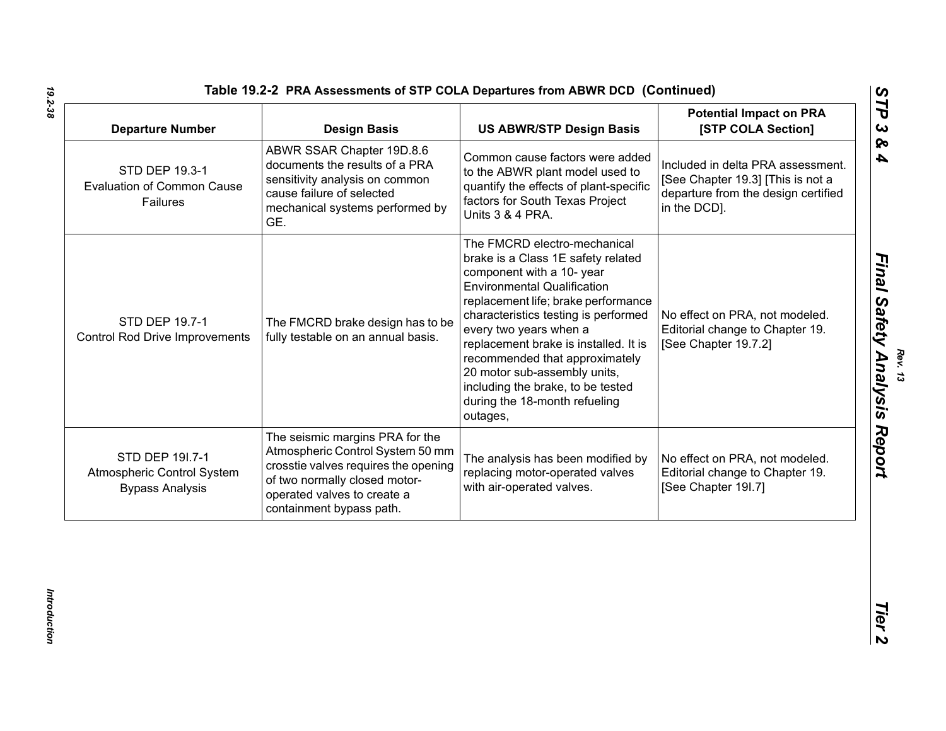| <b>Departure Number</b>                                                 | <b>Design Basis</b>                                                                                                                                                                                     | <b>US ABWR/STP Design Basis</b>                                                                                                                                                                                                                                                                                                                                                                                                             | <b>Potential Impact on PRA</b><br>[STP COLA Section]                                                                          |
|-------------------------------------------------------------------------|---------------------------------------------------------------------------------------------------------------------------------------------------------------------------------------------------------|---------------------------------------------------------------------------------------------------------------------------------------------------------------------------------------------------------------------------------------------------------------------------------------------------------------------------------------------------------------------------------------------------------------------------------------------|-------------------------------------------------------------------------------------------------------------------------------|
| STD DEP 19.3-1<br><b>Evaluation of Common Cause</b><br>Failures         | ABWR SSAR Chapter 19D.8.6<br>documents the results of a PRA<br>sensitivity analysis on common<br>cause failure of selected<br>mechanical systems performed by<br>GE.                                    | Common cause factors were added<br>to the ABWR plant model used to<br>quantify the effects of plant-specific<br>factors for South Texas Project<br>Units 3 & 4 PRA.                                                                                                                                                                                                                                                                         | Included in delta PRA assessment.<br>[See Chapter 19.3] [This is not a<br>departure from the design certified<br>in the DCD]. |
| STD DEP 19.7-1<br><b>Control Rod Drive Improvements</b>                 | The FMCRD brake design has to be<br>fully testable on an annual basis.                                                                                                                                  | The FMCRD electro-mechanical<br>brake is a Class 1E safety related<br>component with a 10- year<br><b>Environmental Qualification</b><br>replacement life; brake performance<br>characteristics testing is performed<br>every two years when a<br>replacement brake is installed. It is<br>recommended that approximately<br>20 motor sub-assembly units,<br>including the brake, to be tested<br>during the 18-month refueling<br>outages, | No effect on PRA, not modeled.<br>Editorial change to Chapter 19.<br>[See Chapter 19.7.2]                                     |
| STD DEP 191.7-1<br>Atmospheric Control System<br><b>Bypass Analysis</b> | The seismic margins PRA for the<br>Atmospheric Control System 50 mm<br>crosstie valves requires the opening<br>of two normally closed motor-<br>operated valves to create a<br>containment bypass path. | The analysis has been modified by<br>replacing motor-operated valves<br>with air-operated valves.                                                                                                                                                                                                                                                                                                                                           | No effect on PRA, not modeled.<br>Editorial change to Chapter 19.<br>[See Chapter 19I.7]                                      |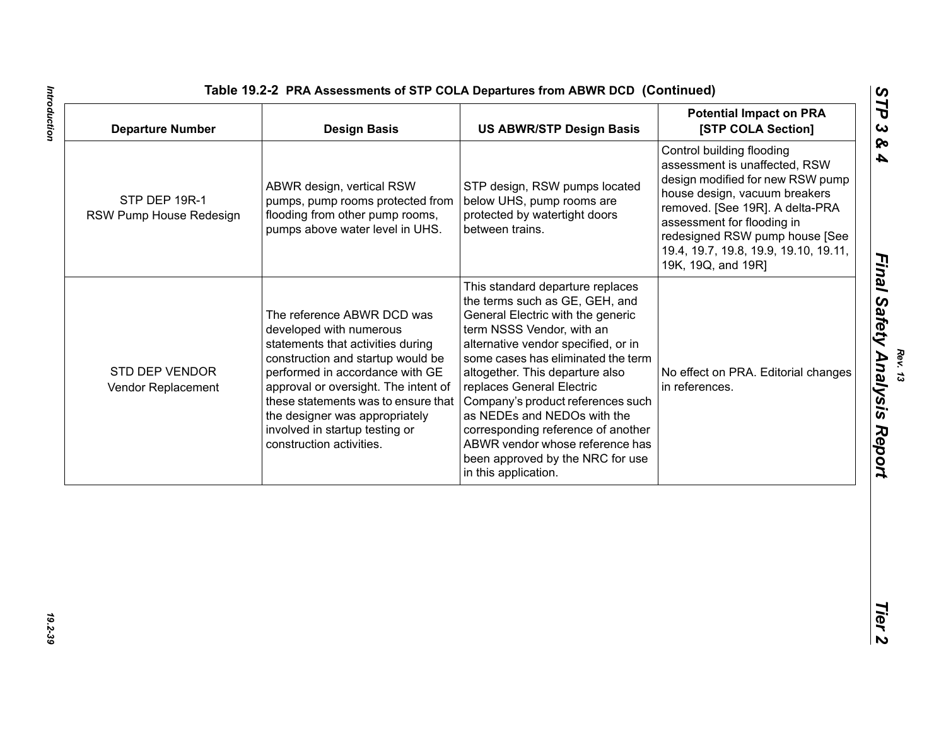| Control building flooding<br>assessment is unaffected, RSW<br>ABWR design, vertical RSW<br>STP design, RSW pumps located<br>house design, vacuum breakers<br>STP DEP 19R-1<br>below UHS, pump rooms are<br>pumps, pump rooms protected from<br>flooding from other pump rooms,<br>protected by watertight doors<br>RSW Pump House Redesign<br>assessment for flooding in<br>pumps above water level in UHS.<br>between trains.<br>19K, 19Q, and 19R]<br>This standard departure replaces<br>the terms such as GE, GEH, and<br>The reference ABWR DCD was<br>General Electric with the generic<br>developed with numerous<br>term NSSS Vendor, with an<br>statements that activities during<br>alternative vendor specified, or in<br>construction and startup would be<br>some cases has eliminated the term<br><b>STD DEP VENDOR</b><br>performed in accordance with GE<br>altogether. This departure also<br>approval or oversight. The intent of<br>replaces General Electric<br>in references.<br>Vendor Replacement<br>these statements was to ensure that<br>Company's product references such<br>as NEDEs and NEDOs with the<br>the designer was appropriately<br>involved in startup testing or<br>corresponding reference of another | <b>Design Basis</b>      | <b>US ABWR/STP Design Basis</b> | <b>Potential Impact on PRA</b><br>[STP COLA Section]                                                                                           |
|-----------------------------------------------------------------------------------------------------------------------------------------------------------------------------------------------------------------------------------------------------------------------------------------------------------------------------------------------------------------------------------------------------------------------------------------------------------------------------------------------------------------------------------------------------------------------------------------------------------------------------------------------------------------------------------------------------------------------------------------------------------------------------------------------------------------------------------------------------------------------------------------------------------------------------------------------------------------------------------------------------------------------------------------------------------------------------------------------------------------------------------------------------------------------------------------------------------------------------------------------|--------------------------|---------------------------------|------------------------------------------------------------------------------------------------------------------------------------------------|
|                                                                                                                                                                                                                                                                                                                                                                                                                                                                                                                                                                                                                                                                                                                                                                                                                                                                                                                                                                                                                                                                                                                                                                                                                                               |                          |                                 | design modified for new RSW pump<br>removed. [See 19R]. A delta-PRA<br>redesigned RSW pump house [See<br>19.4, 19.7, 19.8, 19.9, 19.10, 19.11, |
| been approved by the NRC for use<br>in this application.                                                                                                                                                                                                                                                                                                                                                                                                                                                                                                                                                                                                                                                                                                                                                                                                                                                                                                                                                                                                                                                                                                                                                                                      | construction activities. | ABWR vendor whose reference has | No effect on PRA. Editorial changes                                                                                                            |
|                                                                                                                                                                                                                                                                                                                                                                                                                                                                                                                                                                                                                                                                                                                                                                                                                                                                                                                                                                                                                                                                                                                                                                                                                                               |                          |                                 |                                                                                                                                                |